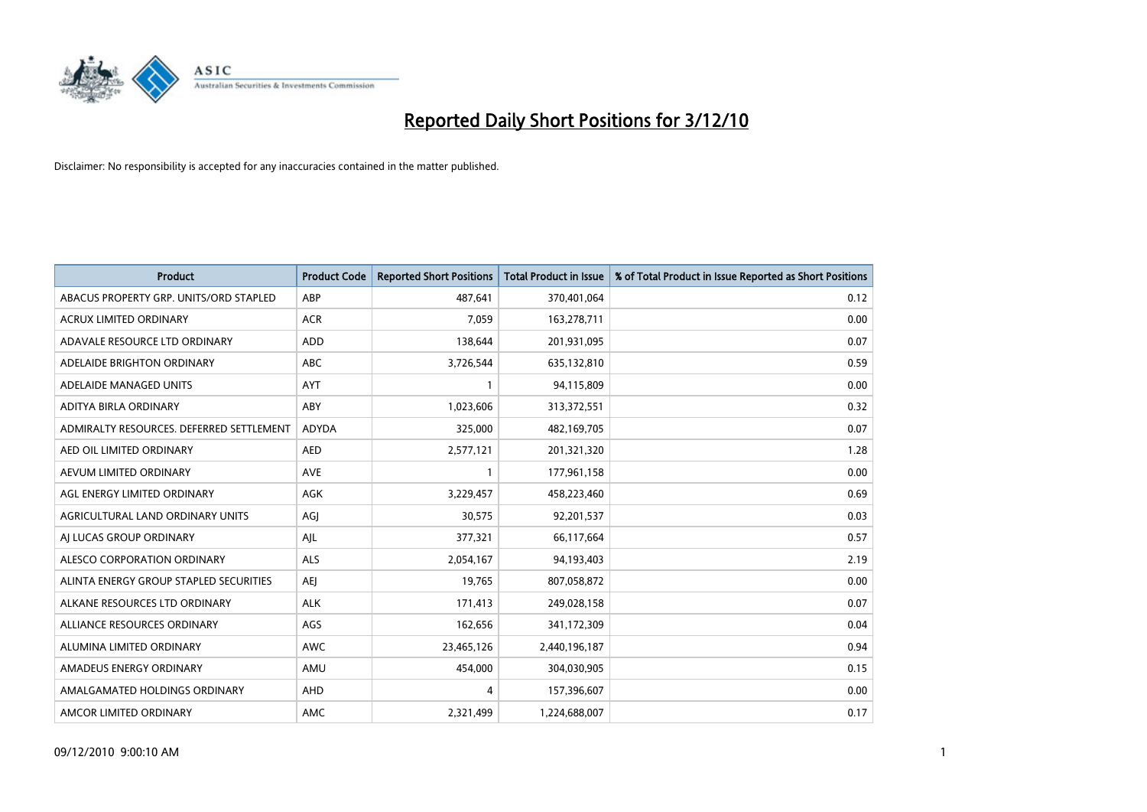

| <b>Product</b>                           | <b>Product Code</b> | <b>Reported Short Positions</b> | Total Product in Issue | % of Total Product in Issue Reported as Short Positions |
|------------------------------------------|---------------------|---------------------------------|------------------------|---------------------------------------------------------|
| ABACUS PROPERTY GRP. UNITS/ORD STAPLED   | ABP                 | 487,641                         | 370,401,064            | 0.12                                                    |
| ACRUX LIMITED ORDINARY                   | <b>ACR</b>          | 7,059                           | 163,278,711            | 0.00                                                    |
| ADAVALE RESOURCE LTD ORDINARY            | <b>ADD</b>          | 138,644                         | 201,931,095            | 0.07                                                    |
| ADELAIDE BRIGHTON ORDINARY               | <b>ABC</b>          | 3,726,544                       | 635,132,810            | 0.59                                                    |
| ADELAIDE MANAGED UNITS                   | <b>AYT</b>          |                                 | 94,115,809             | 0.00                                                    |
| ADITYA BIRLA ORDINARY                    | <b>ABY</b>          | 1,023,606                       | 313,372,551            | 0.32                                                    |
| ADMIRALTY RESOURCES. DEFERRED SETTLEMENT | <b>ADYDA</b>        | 325,000                         | 482,169,705            | 0.07                                                    |
| AED OIL LIMITED ORDINARY                 | <b>AED</b>          | 2,577,121                       | 201,321,320            | 1.28                                                    |
| AEVUM LIMITED ORDINARY                   | AVE                 |                                 | 177,961,158            | 0.00                                                    |
| AGL ENERGY LIMITED ORDINARY              | <b>AGK</b>          | 3,229,457                       | 458,223,460            | 0.69                                                    |
| AGRICULTURAL LAND ORDINARY UNITS         | AGJ                 | 30,575                          | 92,201,537             | 0.03                                                    |
| AI LUCAS GROUP ORDINARY                  | AJL                 | 377,321                         | 66,117,664             | 0.57                                                    |
| ALESCO CORPORATION ORDINARY              | <b>ALS</b>          | 2,054,167                       | 94,193,403             | 2.19                                                    |
| ALINTA ENERGY GROUP STAPLED SECURITIES   | <b>AEI</b>          | 19.765                          | 807,058,872            | 0.00                                                    |
| ALKANE RESOURCES LTD ORDINARY            | <b>ALK</b>          | 171,413                         | 249,028,158            | 0.07                                                    |
| ALLIANCE RESOURCES ORDINARY              | AGS                 | 162,656                         | 341,172,309            | 0.04                                                    |
| ALUMINA LIMITED ORDINARY                 | <b>AWC</b>          | 23,465,126                      | 2,440,196,187          | 0.94                                                    |
| AMADEUS ENERGY ORDINARY                  | AMU                 | 454,000                         | 304,030,905            | 0.15                                                    |
| AMALGAMATED HOLDINGS ORDINARY            | AHD                 | 4                               | 157,396,607            | 0.00                                                    |
| AMCOR LIMITED ORDINARY                   | <b>AMC</b>          | 2,321,499                       | 1,224,688,007          | 0.17                                                    |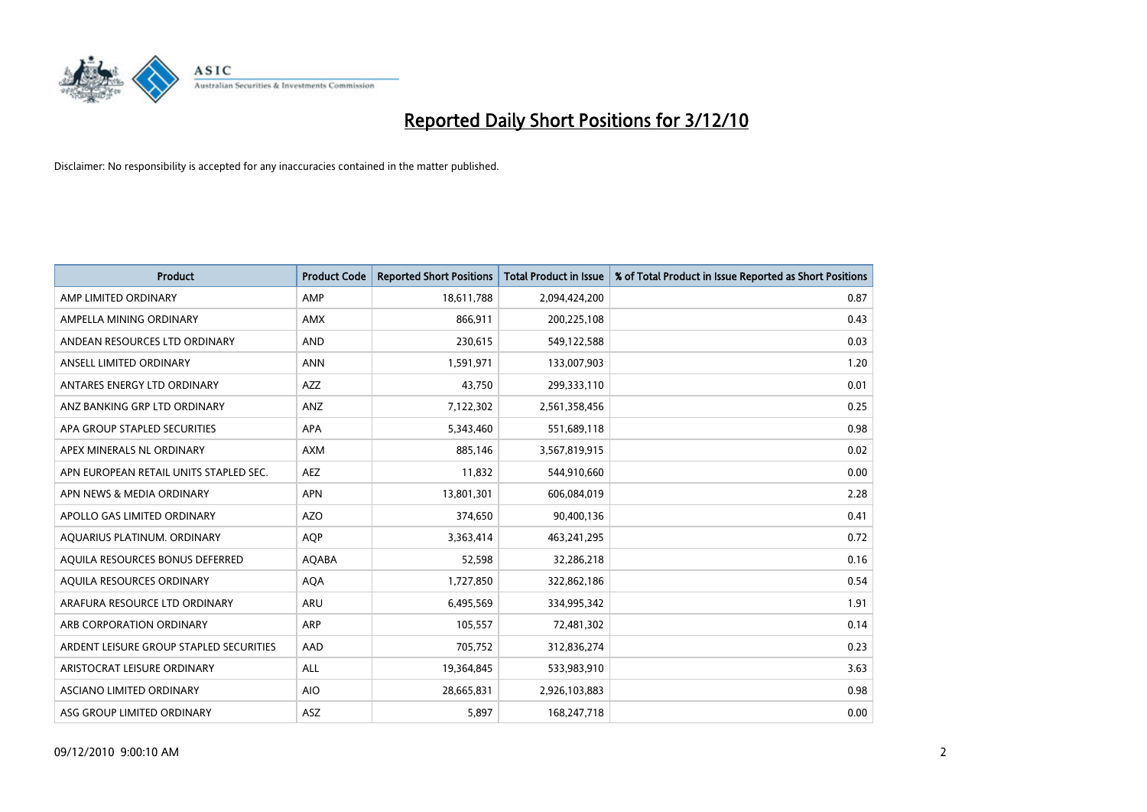

| <b>Product</b>                          | <b>Product Code</b> | <b>Reported Short Positions</b> | Total Product in Issue | % of Total Product in Issue Reported as Short Positions |
|-----------------------------------------|---------------------|---------------------------------|------------------------|---------------------------------------------------------|
| AMP LIMITED ORDINARY                    | AMP                 | 18,611,788                      | 2,094,424,200          | 0.87                                                    |
| AMPELLA MINING ORDINARY                 | <b>AMX</b>          | 866,911                         | 200,225,108            | 0.43                                                    |
| ANDEAN RESOURCES LTD ORDINARY           | <b>AND</b>          | 230,615                         | 549,122,588            | 0.03                                                    |
| ANSELL LIMITED ORDINARY                 | <b>ANN</b>          | 1,591,971                       | 133,007,903            | 1.20                                                    |
| ANTARES ENERGY LTD ORDINARY             | <b>AZZ</b>          | 43.750                          | 299,333,110            | 0.01                                                    |
| ANZ BANKING GRP LTD ORDINARY            | ANZ                 | 7,122,302                       | 2,561,358,456          | 0.25                                                    |
| APA GROUP STAPLED SECURITIES            | <b>APA</b>          | 5,343,460                       | 551,689,118            | 0.98                                                    |
| APEX MINERALS NL ORDINARY               | <b>AXM</b>          | 885,146                         | 3,567,819,915          | 0.02                                                    |
| APN EUROPEAN RETAIL UNITS STAPLED SEC.  | <b>AEZ</b>          | 11,832                          | 544,910,660            | 0.00                                                    |
| APN NEWS & MEDIA ORDINARY               | <b>APN</b>          | 13,801,301                      | 606,084,019            | 2.28                                                    |
| APOLLO GAS LIMITED ORDINARY             | <b>AZO</b>          | 374,650                         | 90,400,136             | 0.41                                                    |
| AQUARIUS PLATINUM. ORDINARY             | <b>AOP</b>          | 3,363,414                       | 463,241,295            | 0.72                                                    |
| AQUILA RESOURCES BONUS DEFERRED         | AQABA               | 52.598                          | 32,286,218             | 0.16                                                    |
| AOUILA RESOURCES ORDINARY               | <b>AQA</b>          | 1,727,850                       | 322,862,186            | 0.54                                                    |
| ARAFURA RESOURCE LTD ORDINARY           | <b>ARU</b>          | 6,495,569                       | 334,995,342            | 1.91                                                    |
| ARB CORPORATION ORDINARY                | <b>ARP</b>          | 105,557                         | 72,481,302             | 0.14                                                    |
| ARDENT LEISURE GROUP STAPLED SECURITIES | AAD                 | 705,752                         | 312,836,274            | 0.23                                                    |
| ARISTOCRAT LEISURE ORDINARY             | ALL                 | 19,364,845                      | 533,983,910            | 3.63                                                    |
| <b>ASCIANO LIMITED ORDINARY</b>         | <b>AIO</b>          | 28,665,831                      | 2,926,103,883          | 0.98                                                    |
| ASG GROUP LIMITED ORDINARY              | <b>ASZ</b>          | 5.897                           | 168,247,718            | 0.00                                                    |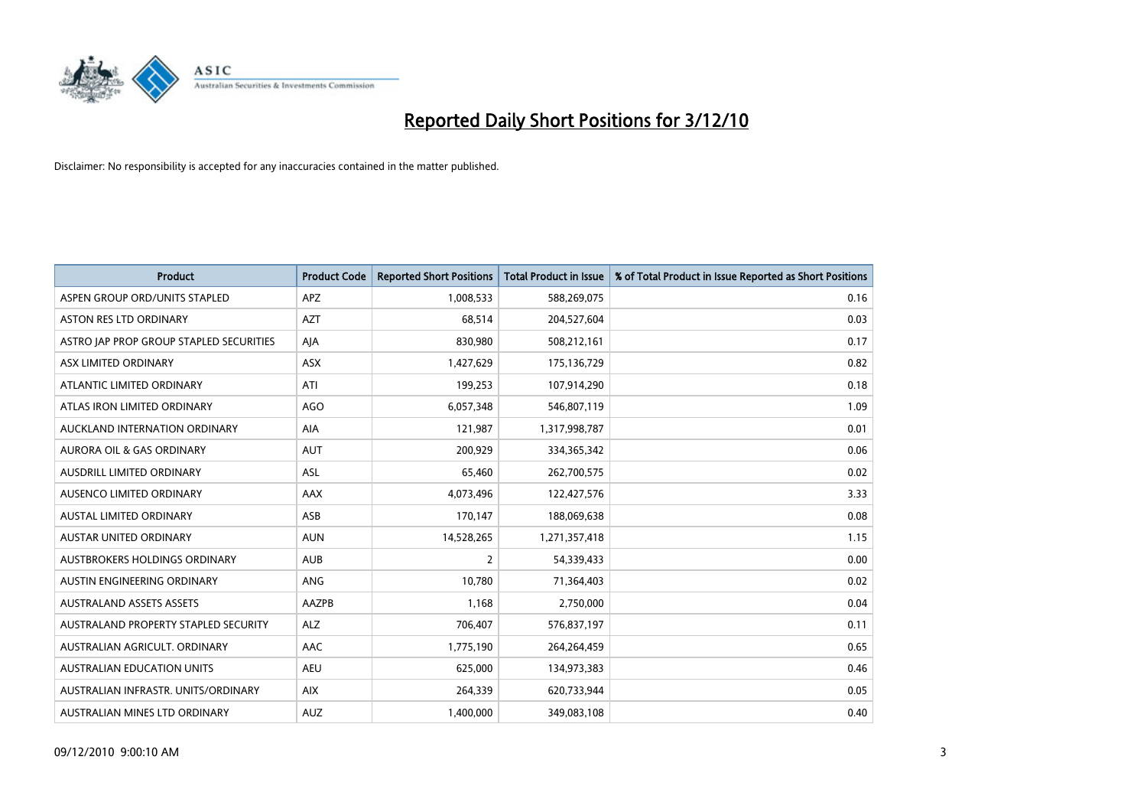

| <b>Product</b>                          | <b>Product Code</b> | <b>Reported Short Positions</b> | Total Product in Issue | % of Total Product in Issue Reported as Short Positions |
|-----------------------------------------|---------------------|---------------------------------|------------------------|---------------------------------------------------------|
| ASPEN GROUP ORD/UNITS STAPLED           | APZ                 | 1,008,533                       | 588,269,075            | 0.16                                                    |
| <b>ASTON RES LTD ORDINARY</b>           | <b>AZT</b>          | 68,514                          | 204,527,604            | 0.03                                                    |
| ASTRO JAP PROP GROUP STAPLED SECURITIES | AJA                 | 830,980                         | 508,212,161            | 0.17                                                    |
| ASX LIMITED ORDINARY                    | ASX                 | 1,427,629                       | 175,136,729            | 0.82                                                    |
| ATLANTIC LIMITED ORDINARY               | ATI                 | 199,253                         | 107,914,290            | 0.18                                                    |
| ATLAS IRON LIMITED ORDINARY             | <b>AGO</b>          | 6,057,348                       | 546,807,119            | 1.09                                                    |
| AUCKLAND INTERNATION ORDINARY           | <b>AIA</b>          | 121,987                         | 1,317,998,787          | 0.01                                                    |
| <b>AURORA OIL &amp; GAS ORDINARY</b>    | <b>AUT</b>          | 200,929                         | 334,365,342            | 0.06                                                    |
| AUSDRILL LIMITED ORDINARY               | <b>ASL</b>          | 65,460                          | 262,700,575            | 0.02                                                    |
| AUSENCO LIMITED ORDINARY                | AAX                 | 4,073,496                       | 122,427,576            | 3.33                                                    |
| AUSTAL LIMITED ORDINARY                 | ASB                 | 170,147                         | 188,069,638            | 0.08                                                    |
| <b>AUSTAR UNITED ORDINARY</b>           | <b>AUN</b>          | 14,528,265                      | 1,271,357,418          | 1.15                                                    |
| AUSTBROKERS HOLDINGS ORDINARY           | <b>AUB</b>          | $\overline{2}$                  | 54,339,433             | 0.00                                                    |
| AUSTIN ENGINEERING ORDINARY             | ANG                 | 10.780                          | 71,364,403             | 0.02                                                    |
| <b>AUSTRALAND ASSETS ASSETS</b>         | AAZPB               | 1,168                           | 2,750,000              | 0.04                                                    |
| AUSTRALAND PROPERTY STAPLED SECURITY    | <b>ALZ</b>          | 706,407                         | 576,837,197            | 0.11                                                    |
| AUSTRALIAN AGRICULT, ORDINARY           | AAC                 | 1,775,190                       | 264,264,459            | 0.65                                                    |
| AUSTRALIAN EDUCATION UNITS              | <b>AEU</b>          | 625,000                         | 134,973,383            | 0.46                                                    |
| AUSTRALIAN INFRASTR. UNITS/ORDINARY     | <b>AIX</b>          | 264,339                         | 620,733,944            | 0.05                                                    |
| AUSTRALIAN MINES LTD ORDINARY           | <b>AUZ</b>          | 1,400,000                       | 349,083,108            | 0.40                                                    |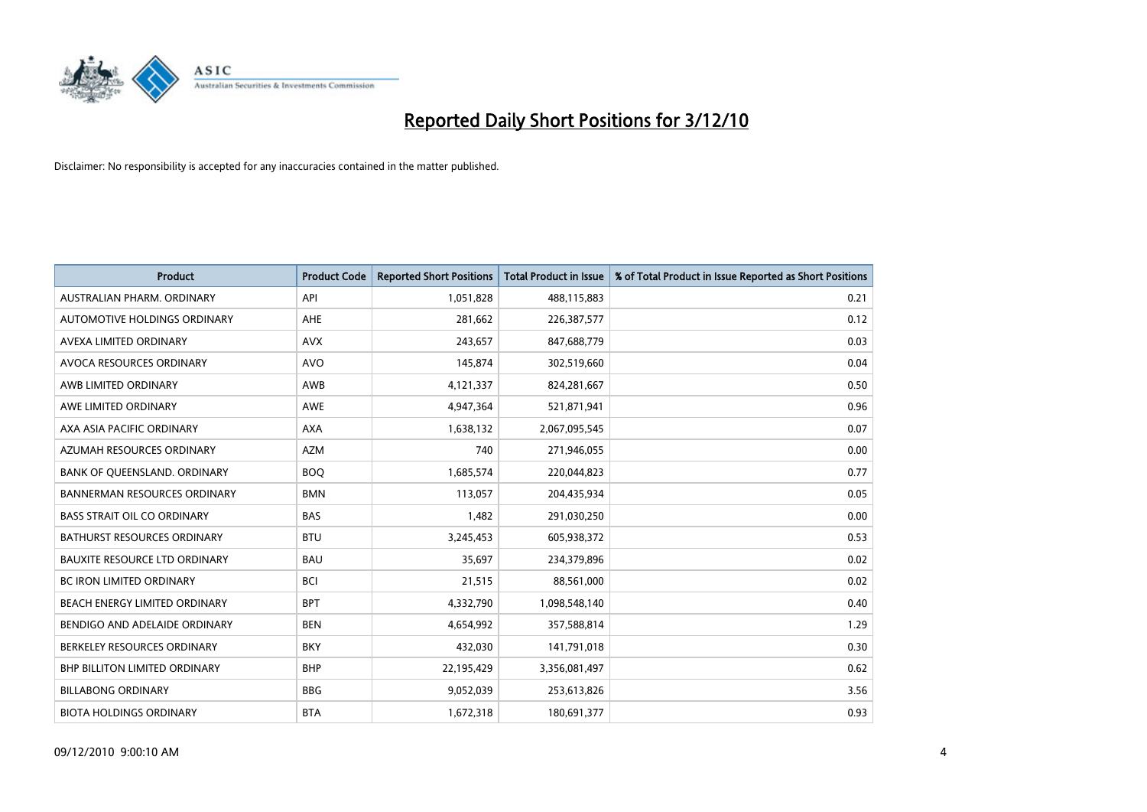

| <b>Product</b>                       | <b>Product Code</b> | <b>Reported Short Positions</b> | <b>Total Product in Issue</b> | % of Total Product in Issue Reported as Short Positions |
|--------------------------------------|---------------------|---------------------------------|-------------------------------|---------------------------------------------------------|
| AUSTRALIAN PHARM, ORDINARY           | API                 | 1,051,828                       | 488,115,883                   | 0.21                                                    |
| AUTOMOTIVE HOLDINGS ORDINARY         | AHE                 | 281,662                         | 226,387,577                   | 0.12                                                    |
| AVEXA LIMITED ORDINARY               | <b>AVX</b>          | 243,657                         | 847,688,779                   | 0.03                                                    |
| AVOCA RESOURCES ORDINARY             | <b>AVO</b>          | 145,874                         | 302,519,660                   | 0.04                                                    |
| AWB LIMITED ORDINARY                 | <b>AWB</b>          | 4,121,337                       | 824,281,667                   | 0.50                                                    |
| AWE LIMITED ORDINARY                 | AWE                 | 4,947,364                       | 521,871,941                   | 0.96                                                    |
| AXA ASIA PACIFIC ORDINARY            | <b>AXA</b>          | 1,638,132                       | 2,067,095,545                 | 0.07                                                    |
| AZUMAH RESOURCES ORDINARY            | <b>AZM</b>          | 740                             | 271,946,055                   | 0.00                                                    |
| BANK OF QUEENSLAND. ORDINARY         | <b>BOO</b>          | 1,685,574                       | 220,044,823                   | 0.77                                                    |
| <b>BANNERMAN RESOURCES ORDINARY</b>  | <b>BMN</b>          | 113,057                         | 204,435,934                   | 0.05                                                    |
| <b>BASS STRAIT OIL CO ORDINARY</b>   | <b>BAS</b>          | 1,482                           | 291,030,250                   | 0.00                                                    |
| <b>BATHURST RESOURCES ORDINARY</b>   | <b>BTU</b>          | 3,245,453                       | 605,938,372                   | 0.53                                                    |
| <b>BAUXITE RESOURCE LTD ORDINARY</b> | <b>BAU</b>          | 35,697                          | 234,379,896                   | 0.02                                                    |
| <b>BC IRON LIMITED ORDINARY</b>      | <b>BCI</b>          | 21,515                          | 88,561,000                    | 0.02                                                    |
| BEACH ENERGY LIMITED ORDINARY        | <b>BPT</b>          | 4,332,790                       | 1,098,548,140                 | 0.40                                                    |
| BENDIGO AND ADELAIDE ORDINARY        | <b>BEN</b>          | 4,654,992                       | 357,588,814                   | 1.29                                                    |
| BERKELEY RESOURCES ORDINARY          | <b>BKY</b>          | 432,030                         | 141,791,018                   | 0.30                                                    |
| BHP BILLITON LIMITED ORDINARY        | <b>BHP</b>          | 22,195,429                      | 3,356,081,497                 | 0.62                                                    |
| <b>BILLABONG ORDINARY</b>            | <b>BBG</b>          | 9,052,039                       | 253,613,826                   | 3.56                                                    |
| <b>BIOTA HOLDINGS ORDINARY</b>       | <b>BTA</b>          | 1,672,318                       | 180,691,377                   | 0.93                                                    |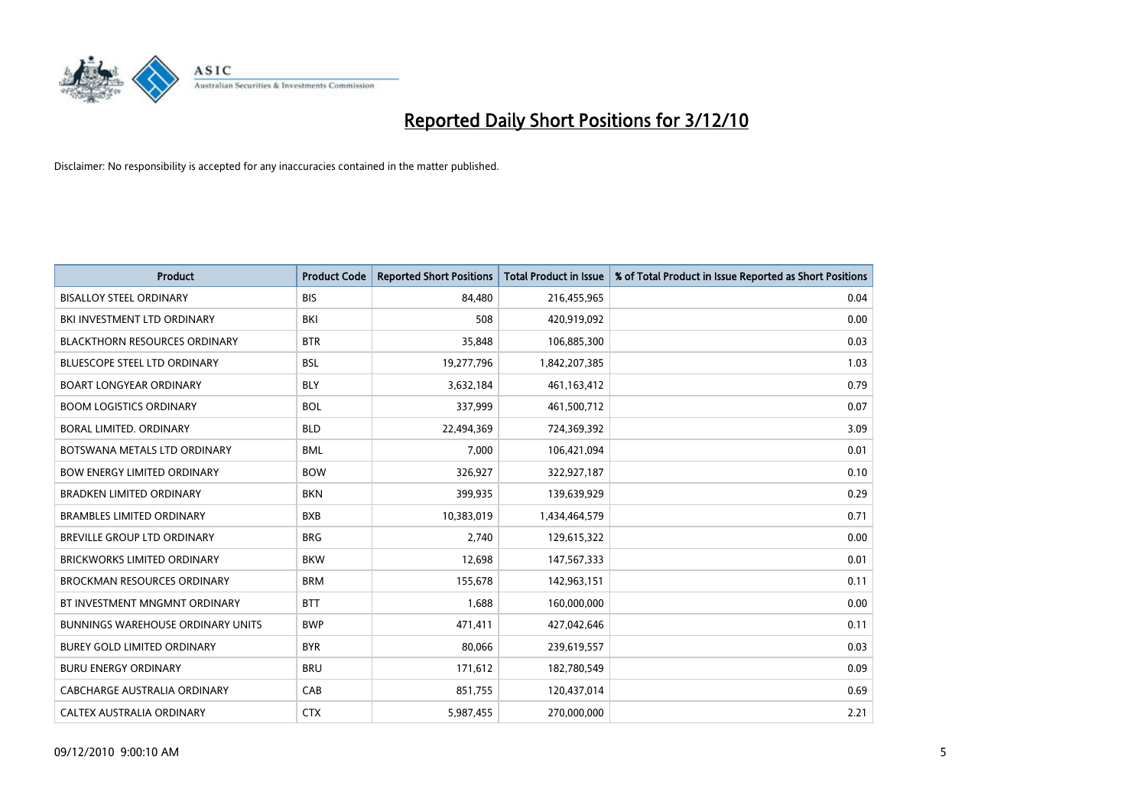

| <b>Product</b>                       | <b>Product Code</b> | <b>Reported Short Positions</b> | <b>Total Product in Issue</b> | % of Total Product in Issue Reported as Short Positions |
|--------------------------------------|---------------------|---------------------------------|-------------------------------|---------------------------------------------------------|
| <b>BISALLOY STEEL ORDINARY</b>       | <b>BIS</b>          | 84,480                          | 216,455,965                   | 0.04                                                    |
| BKI INVESTMENT LTD ORDINARY          | BKI                 | 508                             | 420,919,092                   | 0.00                                                    |
| <b>BLACKTHORN RESOURCES ORDINARY</b> | <b>BTR</b>          | 35,848                          | 106,885,300                   | 0.03                                                    |
| <b>BLUESCOPE STEEL LTD ORDINARY</b>  | <b>BSL</b>          | 19,277,796                      | 1,842,207,385                 | 1.03                                                    |
| <b>BOART LONGYEAR ORDINARY</b>       | <b>BLY</b>          | 3,632,184                       | 461,163,412                   | 0.79                                                    |
| <b>BOOM LOGISTICS ORDINARY</b>       | <b>BOL</b>          | 337,999                         | 461,500,712                   | 0.07                                                    |
| BORAL LIMITED, ORDINARY              | <b>BLD</b>          | 22,494,369                      | 724,369,392                   | 3.09                                                    |
| BOTSWANA METALS LTD ORDINARY         | <b>BML</b>          | 7,000                           | 106,421,094                   | 0.01                                                    |
| <b>BOW ENERGY LIMITED ORDINARY</b>   | <b>BOW</b>          | 326,927                         | 322,927,187                   | 0.10                                                    |
| <b>BRADKEN LIMITED ORDINARY</b>      | <b>BKN</b>          | 399,935                         | 139,639,929                   | 0.29                                                    |
| <b>BRAMBLES LIMITED ORDINARY</b>     | <b>BXB</b>          | 10,383,019                      | 1,434,464,579                 | 0.71                                                    |
| <b>BREVILLE GROUP LTD ORDINARY</b>   | <b>BRG</b>          | 2.740                           | 129,615,322                   | 0.00                                                    |
| <b>BRICKWORKS LIMITED ORDINARY</b>   | <b>BKW</b>          | 12,698                          | 147,567,333                   | 0.01                                                    |
| <b>BROCKMAN RESOURCES ORDINARY</b>   | <b>BRM</b>          | 155,678                         | 142,963,151                   | 0.11                                                    |
| BT INVESTMENT MNGMNT ORDINARY        | <b>BTT</b>          | 1,688                           | 160,000,000                   | 0.00                                                    |
| BUNNINGS WAREHOUSE ORDINARY UNITS    | <b>BWP</b>          | 471,411                         | 427,042,646                   | 0.11                                                    |
| <b>BUREY GOLD LIMITED ORDINARY</b>   | <b>BYR</b>          | 80,066                          | 239,619,557                   | 0.03                                                    |
| <b>BURU ENERGY ORDINARY</b>          | <b>BRU</b>          | 171,612                         | 182,780,549                   | 0.09                                                    |
| <b>CABCHARGE AUSTRALIA ORDINARY</b>  | CAB                 | 851,755                         | 120,437,014                   | 0.69                                                    |
| CALTEX AUSTRALIA ORDINARY            | <b>CTX</b>          | 5,987,455                       | 270,000,000                   | 2.21                                                    |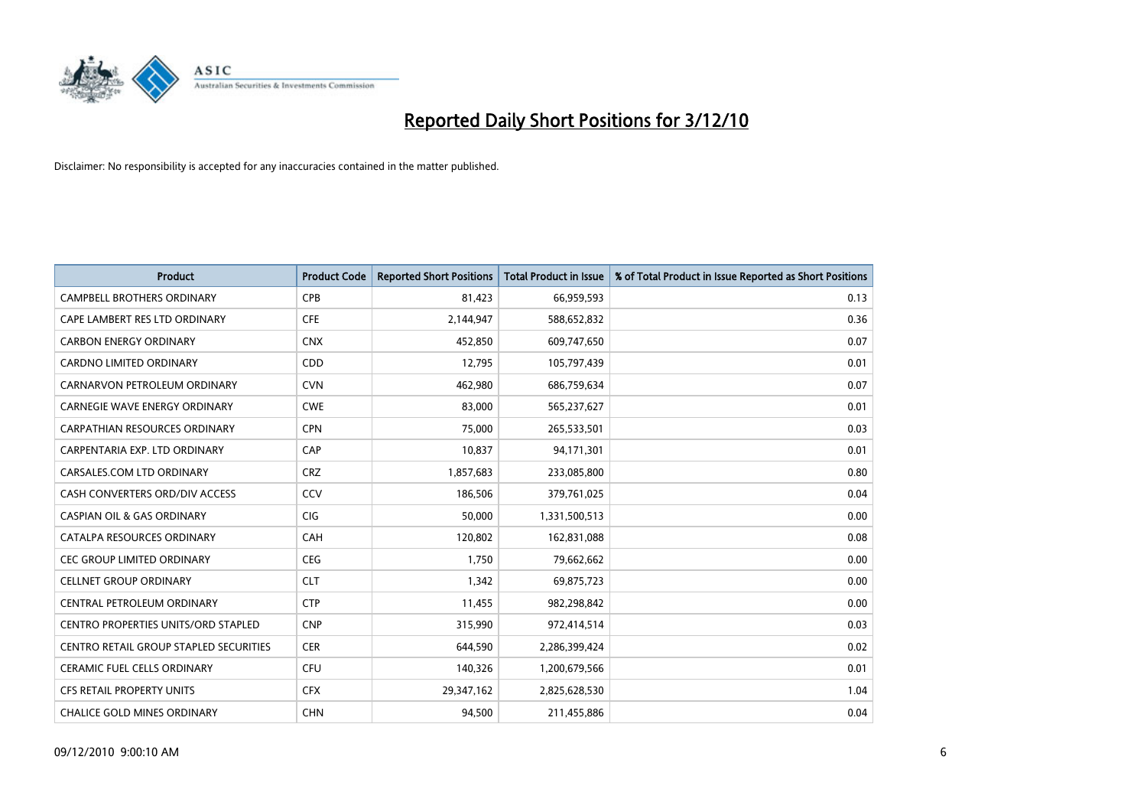

| <b>Product</b>                         | <b>Product Code</b> | <b>Reported Short Positions</b> | Total Product in Issue | % of Total Product in Issue Reported as Short Positions |
|----------------------------------------|---------------------|---------------------------------|------------------------|---------------------------------------------------------|
| <b>CAMPBELL BROTHERS ORDINARY</b>      | <b>CPB</b>          | 81,423                          | 66,959,593             | 0.13                                                    |
| CAPE LAMBERT RES LTD ORDINARY          | <b>CFE</b>          | 2,144,947                       | 588,652,832            | 0.36                                                    |
| <b>CARBON ENERGY ORDINARY</b>          | <b>CNX</b>          | 452,850                         | 609,747,650            | 0.07                                                    |
| CARDNO LIMITED ORDINARY                | CDD                 | 12,795                          | 105,797,439            | 0.01                                                    |
| CARNARVON PETROLEUM ORDINARY           | <b>CVN</b>          | 462.980                         | 686,759,634            | 0.07                                                    |
| <b>CARNEGIE WAVE ENERGY ORDINARY</b>   | <b>CWE</b>          | 83,000                          | 565,237,627            | 0.01                                                    |
| <b>CARPATHIAN RESOURCES ORDINARY</b>   | <b>CPN</b>          | 75.000                          | 265,533,501            | 0.03                                                    |
| CARPENTARIA EXP. LTD ORDINARY          | CAP                 | 10,837                          | 94,171,301             | 0.01                                                    |
| CARSALES.COM LTD ORDINARY              | <b>CRZ</b>          | 1,857,683                       | 233,085,800            | 0.80                                                    |
| CASH CONVERTERS ORD/DIV ACCESS         | CCV                 | 186.506                         | 379,761,025            | 0.04                                                    |
| <b>CASPIAN OIL &amp; GAS ORDINARY</b>  | <b>CIG</b>          | 50,000                          | 1,331,500,513          | 0.00                                                    |
| CATALPA RESOURCES ORDINARY             | CAH                 | 120,802                         | 162,831,088            | 0.08                                                    |
| <b>CEC GROUP LIMITED ORDINARY</b>      | <b>CEG</b>          | 1.750                           | 79,662,662             | 0.00                                                    |
| <b>CELLNET GROUP ORDINARY</b>          | <b>CLT</b>          | 1.342                           | 69,875,723             | 0.00                                                    |
| CENTRAL PETROLEUM ORDINARY             | <b>CTP</b>          | 11,455                          | 982,298,842            | 0.00                                                    |
| CENTRO PROPERTIES UNITS/ORD STAPLED    | <b>CNP</b>          | 315,990                         | 972,414,514            | 0.03                                                    |
| CENTRO RETAIL GROUP STAPLED SECURITIES | <b>CER</b>          | 644,590                         | 2,286,399,424          | 0.02                                                    |
| CERAMIC FUEL CELLS ORDINARY            | <b>CFU</b>          | 140,326                         | 1,200,679,566          | 0.01                                                    |
| <b>CFS RETAIL PROPERTY UNITS</b>       | <b>CFX</b>          | 29,347,162                      | 2,825,628,530          | 1.04                                                    |
| <b>CHALICE GOLD MINES ORDINARY</b>     | <b>CHN</b>          | 94.500                          | 211,455,886            | 0.04                                                    |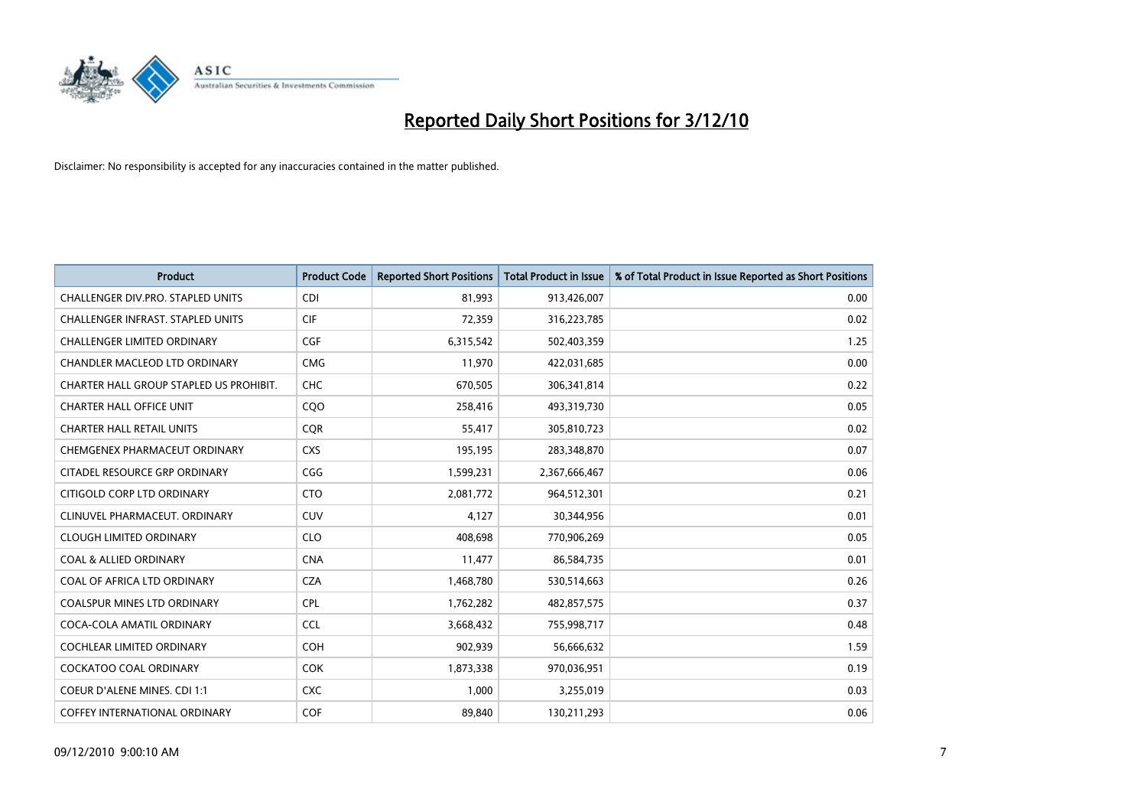

| <b>Product</b>                          | <b>Product Code</b> | <b>Reported Short Positions</b> | Total Product in Issue | % of Total Product in Issue Reported as Short Positions |
|-----------------------------------------|---------------------|---------------------------------|------------------------|---------------------------------------------------------|
| CHALLENGER DIV.PRO. STAPLED UNITS       | <b>CDI</b>          | 81,993                          | 913,426,007            | 0.00                                                    |
| CHALLENGER INFRAST. STAPLED UNITS       | <b>CIF</b>          | 72,359                          | 316,223,785            | 0.02                                                    |
| <b>CHALLENGER LIMITED ORDINARY</b>      | CGF                 | 6,315,542                       | 502,403,359            | 1.25                                                    |
| CHANDLER MACLEOD LTD ORDINARY           | <b>CMG</b>          | 11,970                          | 422,031,685            | 0.00                                                    |
| CHARTER HALL GROUP STAPLED US PROHIBIT. | <b>CHC</b>          | 670,505                         | 306,341,814            | 0.22                                                    |
| <b>CHARTER HALL OFFICE UNIT</b>         | CQO                 | 258,416                         | 493,319,730            | 0.05                                                    |
| <b>CHARTER HALL RETAIL UNITS</b>        | <b>COR</b>          | 55,417                          | 305,810,723            | 0.02                                                    |
| CHEMGENEX PHARMACEUT ORDINARY           | <b>CXS</b>          | 195,195                         | 283,348,870            | 0.07                                                    |
| CITADEL RESOURCE GRP ORDINARY           | CGG                 | 1,599,231                       | 2,367,666,467          | 0.06                                                    |
| CITIGOLD CORP LTD ORDINARY              | <b>CTO</b>          | 2,081,772                       | 964,512,301            | 0.21                                                    |
| CLINUVEL PHARMACEUT. ORDINARY           | <b>CUV</b>          | 4,127                           | 30,344,956             | 0.01                                                    |
| <b>CLOUGH LIMITED ORDINARY</b>          | <b>CLO</b>          | 408.698                         | 770,906,269            | 0.05                                                    |
| <b>COAL &amp; ALLIED ORDINARY</b>       | <b>CNA</b>          | 11,477                          | 86,584,735             | 0.01                                                    |
| COAL OF AFRICA LTD ORDINARY             | <b>CZA</b>          | 1,468,780                       | 530,514,663            | 0.26                                                    |
| <b>COALSPUR MINES LTD ORDINARY</b>      | CPL                 | 1,762,282                       | 482,857,575            | 0.37                                                    |
| COCA-COLA AMATIL ORDINARY               | <b>CCL</b>          | 3,668,432                       | 755,998,717            | 0.48                                                    |
| <b>COCHLEAR LIMITED ORDINARY</b>        | <b>COH</b>          | 902,939                         | 56,666,632             | 1.59                                                    |
| COCKATOO COAL ORDINARY                  | <b>COK</b>          | 1,873,338                       | 970,036,951            | 0.19                                                    |
| <b>COEUR D'ALENE MINES. CDI 1:1</b>     | <b>CXC</b>          | 1.000                           | 3,255,019              | 0.03                                                    |
| <b>COFFEY INTERNATIONAL ORDINARY</b>    | <b>COF</b>          | 89.840                          | 130,211,293            | 0.06                                                    |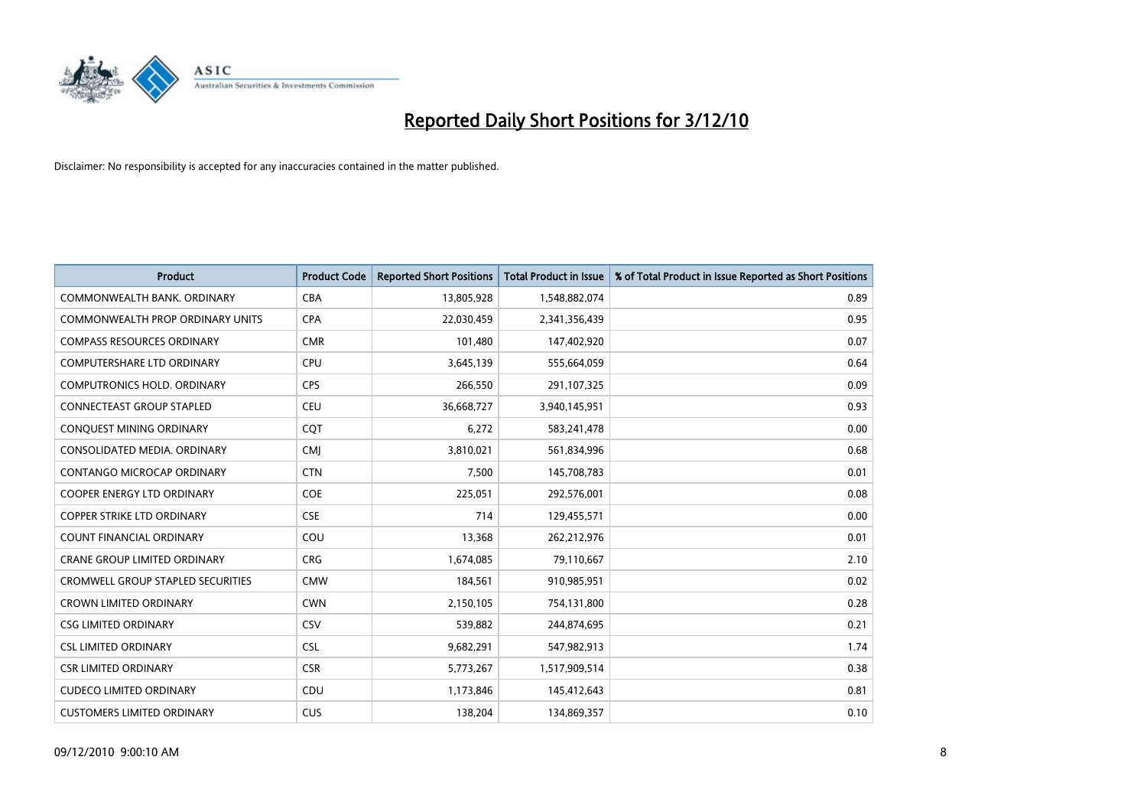

| <b>Product</b>                           | <b>Product Code</b> | <b>Reported Short Positions</b> | Total Product in Issue | % of Total Product in Issue Reported as Short Positions |
|------------------------------------------|---------------------|---------------------------------|------------------------|---------------------------------------------------------|
| COMMONWEALTH BANK, ORDINARY              | <b>CBA</b>          | 13,805,928                      | 1,548,882,074          | 0.89                                                    |
| COMMONWEALTH PROP ORDINARY UNITS         | <b>CPA</b>          | 22,030,459                      | 2,341,356,439          | 0.95                                                    |
| <b>COMPASS RESOURCES ORDINARY</b>        | <b>CMR</b>          | 101,480                         | 147,402,920            | 0.07                                                    |
| COMPUTERSHARE LTD ORDINARY               | CPU                 | 3,645,139                       | 555,664,059            | 0.64                                                    |
| <b>COMPUTRONICS HOLD, ORDINARY</b>       | <b>CPS</b>          | 266,550                         | 291,107,325            | 0.09                                                    |
| CONNECTEAST GROUP STAPLED                | <b>CEU</b>          | 36,668,727                      | 3,940,145,951          | 0.93                                                    |
| CONQUEST MINING ORDINARY                 | COT                 | 6,272                           | 583,241,478            | 0.00                                                    |
| CONSOLIDATED MEDIA, ORDINARY             | <b>CMJ</b>          | 3,810,021                       | 561,834,996            | 0.68                                                    |
| CONTANGO MICROCAP ORDINARY               | <b>CTN</b>          | 7,500                           | 145,708,783            | 0.01                                                    |
| <b>COOPER ENERGY LTD ORDINARY</b>        | <b>COE</b>          | 225,051                         | 292,576,001            | 0.08                                                    |
| <b>COPPER STRIKE LTD ORDINARY</b>        | <b>CSE</b>          | 714                             | 129,455,571            | 0.00                                                    |
| <b>COUNT FINANCIAL ORDINARY</b>          | COU                 | 13,368                          | 262,212,976            | 0.01                                                    |
| <b>CRANE GROUP LIMITED ORDINARY</b>      | <b>CRG</b>          | 1,674,085                       | 79,110,667             | 2.10                                                    |
| <b>CROMWELL GROUP STAPLED SECURITIES</b> | <b>CMW</b>          | 184,561                         | 910,985,951            | 0.02                                                    |
| <b>CROWN LIMITED ORDINARY</b>            | <b>CWN</b>          | 2,150,105                       | 754,131,800            | 0.28                                                    |
| <b>CSG LIMITED ORDINARY</b>              | CSV                 | 539,882                         | 244,874,695            | 0.21                                                    |
| <b>CSL LIMITED ORDINARY</b>              | <b>CSL</b>          | 9,682,291                       | 547,982,913            | 1.74                                                    |
| <b>CSR LIMITED ORDINARY</b>              | <b>CSR</b>          | 5,773,267                       | 1,517,909,514          | 0.38                                                    |
| <b>CUDECO LIMITED ORDINARY</b>           | CDU                 | 1,173,846                       | 145,412,643            | 0.81                                                    |
| <b>CUSTOMERS LIMITED ORDINARY</b>        | CUS                 | 138,204                         | 134,869,357            | 0.10                                                    |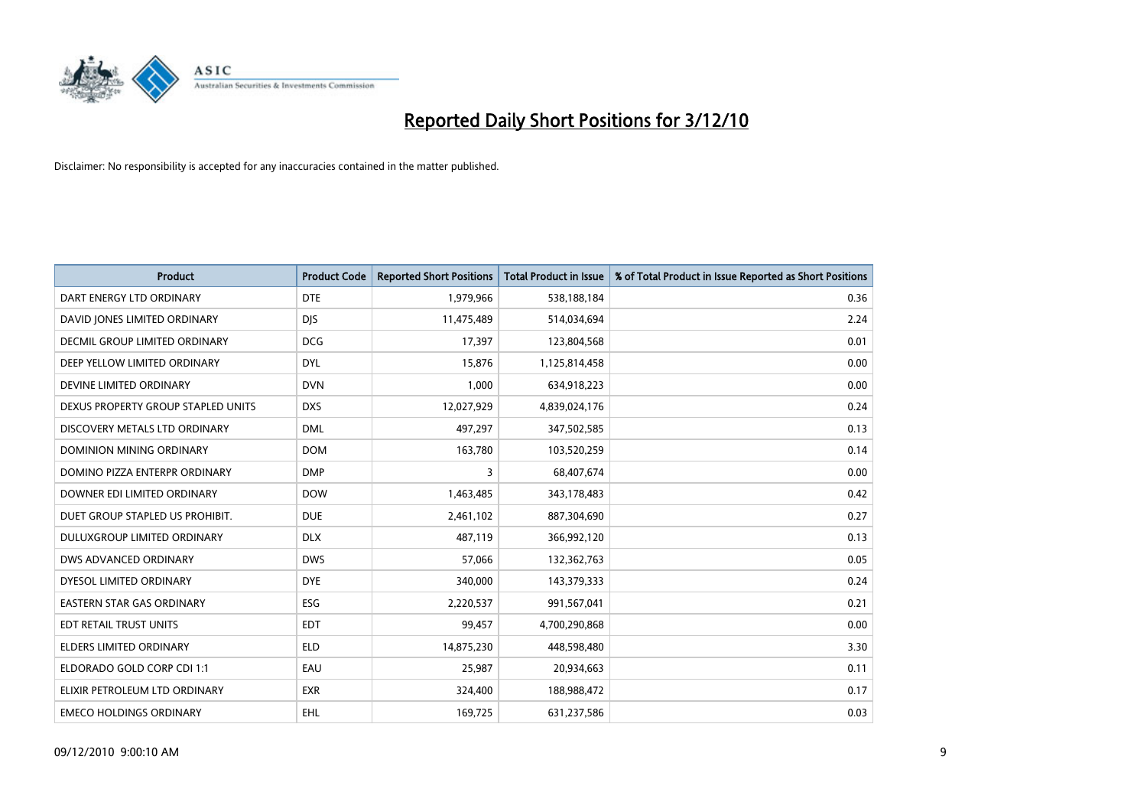

| <b>Product</b>                       | <b>Product Code</b> | <b>Reported Short Positions</b> | Total Product in Issue | % of Total Product in Issue Reported as Short Positions |
|--------------------------------------|---------------------|---------------------------------|------------------------|---------------------------------------------------------|
| DART ENERGY LTD ORDINARY             | <b>DTE</b>          | 1,979,966                       | 538,188,184            | 0.36                                                    |
| DAVID JONES LIMITED ORDINARY         | <b>DIS</b>          | 11,475,489                      | 514,034,694            | 2.24                                                    |
| <b>DECMIL GROUP LIMITED ORDINARY</b> | <b>DCG</b>          | 17,397                          | 123,804,568            | 0.01                                                    |
| DEEP YELLOW LIMITED ORDINARY         | <b>DYL</b>          | 15,876                          | 1,125,814,458          | 0.00                                                    |
| DEVINE LIMITED ORDINARY              | <b>DVN</b>          | 1,000                           | 634,918,223            | 0.00                                                    |
| DEXUS PROPERTY GROUP STAPLED UNITS   | <b>DXS</b>          | 12,027,929                      | 4,839,024,176          | 0.24                                                    |
| DISCOVERY METALS LTD ORDINARY        | <b>DML</b>          | 497.297                         | 347,502,585            | 0.13                                                    |
| DOMINION MINING ORDINARY             | <b>DOM</b>          | 163,780                         | 103,520,259            | 0.14                                                    |
| DOMINO PIZZA ENTERPR ORDINARY        | <b>DMP</b>          | 3                               | 68,407,674             | 0.00                                                    |
| DOWNER EDI LIMITED ORDINARY          | <b>DOW</b>          | 1,463,485                       | 343,178,483            | 0.42                                                    |
| DUET GROUP STAPLED US PROHIBIT.      | <b>DUE</b>          | 2,461,102                       | 887,304,690            | 0.27                                                    |
| DULUXGROUP LIMITED ORDINARY          | <b>DLX</b>          | 487,119                         | 366,992,120            | 0.13                                                    |
| DWS ADVANCED ORDINARY                | <b>DWS</b>          | 57,066                          | 132,362,763            | 0.05                                                    |
| DYESOL LIMITED ORDINARY              | <b>DYE</b>          | 340,000                         | 143,379,333            | 0.24                                                    |
| <b>EASTERN STAR GAS ORDINARY</b>     | ESG                 | 2,220,537                       | 991,567,041            | 0.21                                                    |
| EDT RETAIL TRUST UNITS               | <b>EDT</b>          | 99,457                          | 4,700,290,868          | 0.00                                                    |
| <b>ELDERS LIMITED ORDINARY</b>       | <b>ELD</b>          | 14,875,230                      | 448,598,480            | 3.30                                                    |
| ELDORADO GOLD CORP CDI 1:1           | EAU                 | 25,987                          | 20,934,663             | 0.11                                                    |
| ELIXIR PETROLEUM LTD ORDINARY        | <b>EXR</b>          | 324,400                         | 188,988,472            | 0.17                                                    |
| <b>EMECO HOLDINGS ORDINARY</b>       | <b>EHL</b>          | 169,725                         | 631,237,586            | 0.03                                                    |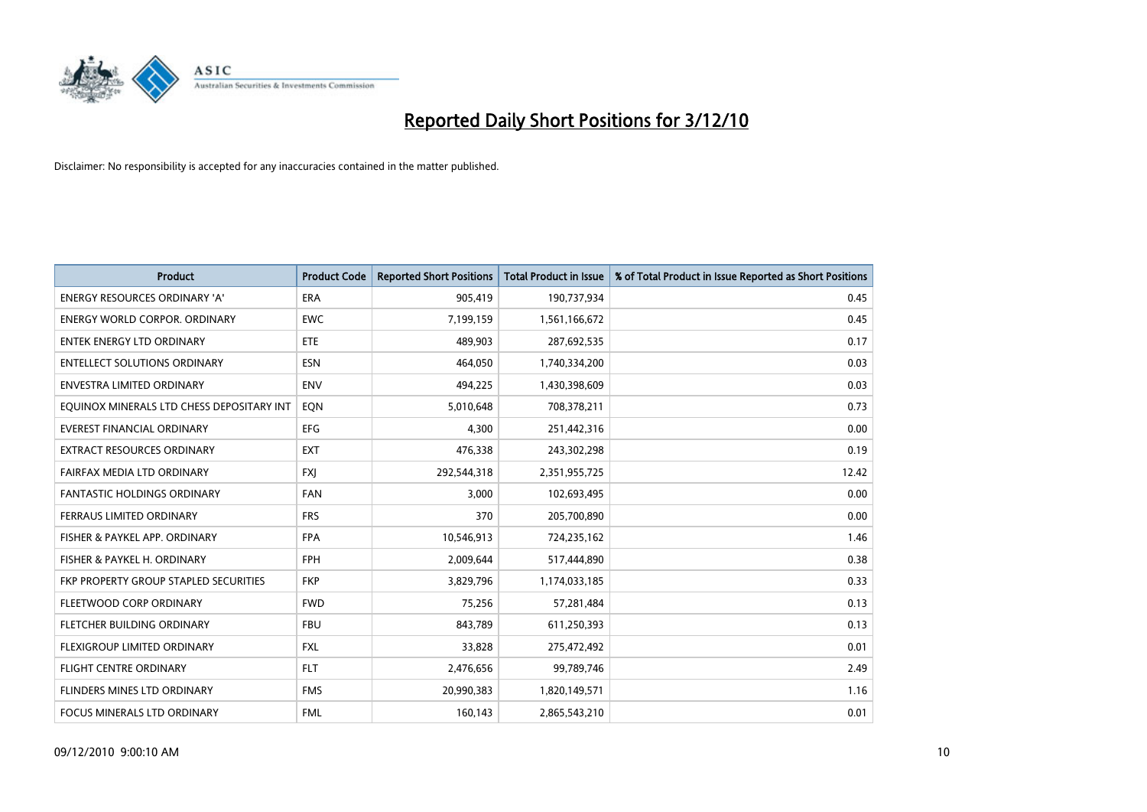

| <b>Product</b>                            | <b>Product Code</b> | <b>Reported Short Positions</b> | <b>Total Product in Issue</b> | % of Total Product in Issue Reported as Short Positions |
|-------------------------------------------|---------------------|---------------------------------|-------------------------------|---------------------------------------------------------|
| <b>ENERGY RESOURCES ORDINARY 'A'</b>      | <b>ERA</b>          | 905,419                         | 190,737,934                   | 0.45                                                    |
| <b>ENERGY WORLD CORPOR. ORDINARY</b>      | <b>EWC</b>          | 7,199,159                       | 1,561,166,672                 | 0.45                                                    |
| <b>ENTEK ENERGY LTD ORDINARY</b>          | <b>ETE</b>          | 489,903                         | 287,692,535                   | 0.17                                                    |
| <b>ENTELLECT SOLUTIONS ORDINARY</b>       | <b>ESN</b>          | 464,050                         | 1,740,334,200                 | 0.03                                                    |
| <b>ENVESTRA LIMITED ORDINARY</b>          | <b>ENV</b>          | 494,225                         | 1,430,398,609                 | 0.03                                                    |
| EQUINOX MINERALS LTD CHESS DEPOSITARY INT | EQN                 | 5,010,648                       | 708,378,211                   | 0.73                                                    |
| EVEREST FINANCIAL ORDINARY                | <b>EFG</b>          | 4,300                           | 251,442,316                   | 0.00                                                    |
| EXTRACT RESOURCES ORDINARY                | <b>EXT</b>          | 476,338                         | 243,302,298                   | 0.19                                                    |
| FAIRFAX MEDIA LTD ORDINARY                | <b>FXI</b>          | 292,544,318                     | 2,351,955,725                 | 12.42                                                   |
| <b>FANTASTIC HOLDINGS ORDINARY</b>        | <b>FAN</b>          | 3,000                           | 102,693,495                   | 0.00                                                    |
| FERRAUS LIMITED ORDINARY                  | <b>FRS</b>          | 370                             | 205,700,890                   | 0.00                                                    |
| FISHER & PAYKEL APP. ORDINARY             | <b>FPA</b>          | 10,546,913                      | 724,235,162                   | 1.46                                                    |
| FISHER & PAYKEL H. ORDINARY               | FPH                 | 2,009,644                       | 517,444,890                   | 0.38                                                    |
| FKP PROPERTY GROUP STAPLED SECURITIES     | <b>FKP</b>          | 3,829,796                       | 1,174,033,185                 | 0.33                                                    |
| FLEETWOOD CORP ORDINARY                   | <b>FWD</b>          | 75,256                          | 57,281,484                    | 0.13                                                    |
| FLETCHER BUILDING ORDINARY                | <b>FBU</b>          | 843.789                         | 611,250,393                   | 0.13                                                    |
| FLEXIGROUP LIMITED ORDINARY               | <b>FXL</b>          | 33,828                          | 275,472,492                   | 0.01                                                    |
| FLIGHT CENTRE ORDINARY                    | <b>FLT</b>          | 2,476,656                       | 99,789,746                    | 2.49                                                    |
| FLINDERS MINES LTD ORDINARY               | <b>FMS</b>          | 20,990,383                      | 1,820,149,571                 | 1.16                                                    |
| FOCUS MINERALS LTD ORDINARY               | <b>FML</b>          | 160,143                         | 2,865,543,210                 | 0.01                                                    |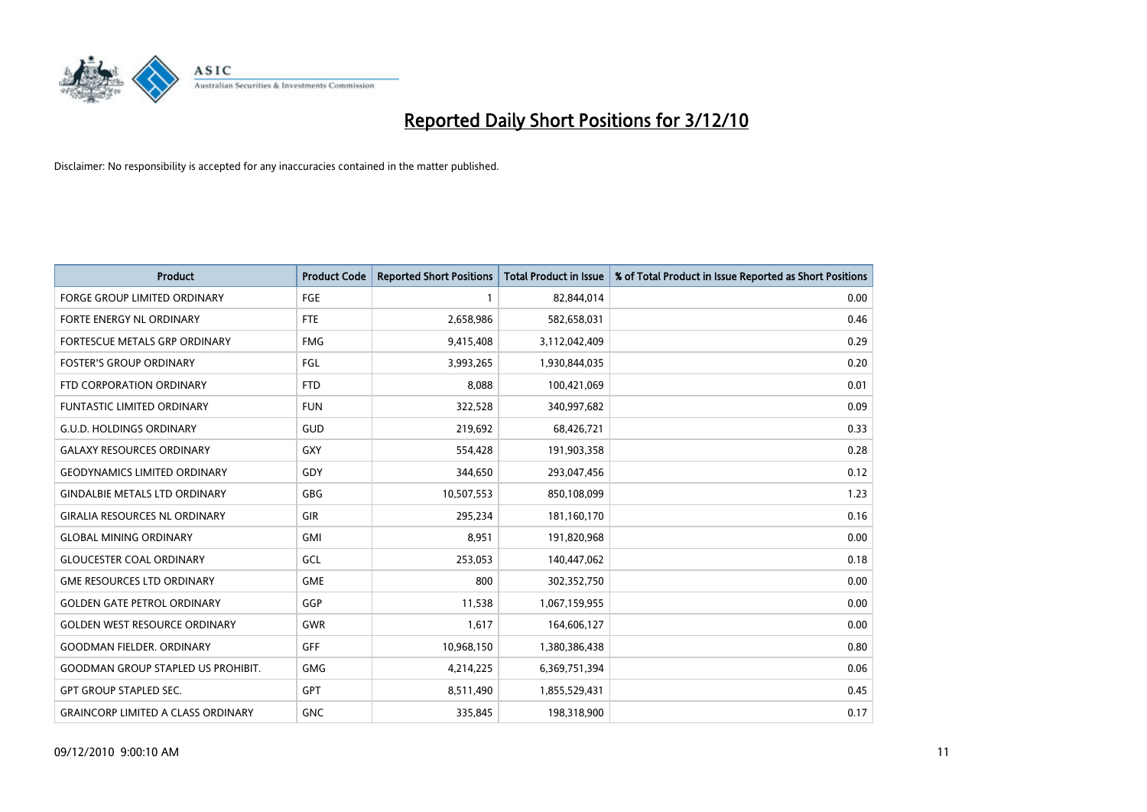

| <b>Product</b>                            | <b>Product Code</b> | <b>Reported Short Positions</b> | <b>Total Product in Issue</b> | % of Total Product in Issue Reported as Short Positions |
|-------------------------------------------|---------------------|---------------------------------|-------------------------------|---------------------------------------------------------|
| <b>FORGE GROUP LIMITED ORDINARY</b>       | FGE                 |                                 | 82,844,014                    | 0.00                                                    |
| <b>FORTE ENERGY NL ORDINARY</b>           | <b>FTE</b>          | 2,658,986                       | 582,658,031                   | 0.46                                                    |
| FORTESCUE METALS GRP ORDINARY             | <b>FMG</b>          | 9,415,408                       | 3,112,042,409                 | 0.29                                                    |
| <b>FOSTER'S GROUP ORDINARY</b>            | FGL                 | 3,993,265                       | 1,930,844,035                 | 0.20                                                    |
| FTD CORPORATION ORDINARY                  | <b>FTD</b>          | 8,088                           | 100,421,069                   | 0.01                                                    |
| <b>FUNTASTIC LIMITED ORDINARY</b>         | <b>FUN</b>          | 322,528                         | 340,997,682                   | 0.09                                                    |
| <b>G.U.D. HOLDINGS ORDINARY</b>           | GUD                 | 219,692                         | 68,426,721                    | 0.33                                                    |
| <b>GALAXY RESOURCES ORDINARY</b>          | <b>GXY</b>          | 554,428                         | 191,903,358                   | 0.28                                                    |
| <b>GEODYNAMICS LIMITED ORDINARY</b>       | GDY                 | 344.650                         | 293,047,456                   | 0.12                                                    |
| <b>GINDALBIE METALS LTD ORDINARY</b>      | <b>GBG</b>          | 10,507,553                      | 850,108,099                   | 1.23                                                    |
| <b>GIRALIA RESOURCES NL ORDINARY</b>      | <b>GIR</b>          | 295,234                         | 181,160,170                   | 0.16                                                    |
| <b>GLOBAL MINING ORDINARY</b>             | <b>GMI</b>          | 8,951                           | 191,820,968                   | 0.00                                                    |
| <b>GLOUCESTER COAL ORDINARY</b>           | GCL                 | 253,053                         | 140,447,062                   | 0.18                                                    |
| <b>GME RESOURCES LTD ORDINARY</b>         | <b>GME</b>          | 800                             | 302,352,750                   | 0.00                                                    |
| <b>GOLDEN GATE PETROL ORDINARY</b>        | GGP                 | 11,538                          | 1,067,159,955                 | 0.00                                                    |
| <b>GOLDEN WEST RESOURCE ORDINARY</b>      | GWR                 | 1,617                           | 164,606,127                   | 0.00                                                    |
| <b>GOODMAN FIELDER. ORDINARY</b>          | <b>GFF</b>          | 10,968,150                      | 1,380,386,438                 | 0.80                                                    |
| <b>GOODMAN GROUP STAPLED US PROHIBIT.</b> | <b>GMG</b>          | 4,214,225                       | 6,369,751,394                 | 0.06                                                    |
| <b>GPT GROUP STAPLED SEC.</b>             | <b>GPT</b>          | 8,511,490                       | 1,855,529,431                 | 0.45                                                    |
| <b>GRAINCORP LIMITED A CLASS ORDINARY</b> | <b>GNC</b>          | 335.845                         | 198,318,900                   | 0.17                                                    |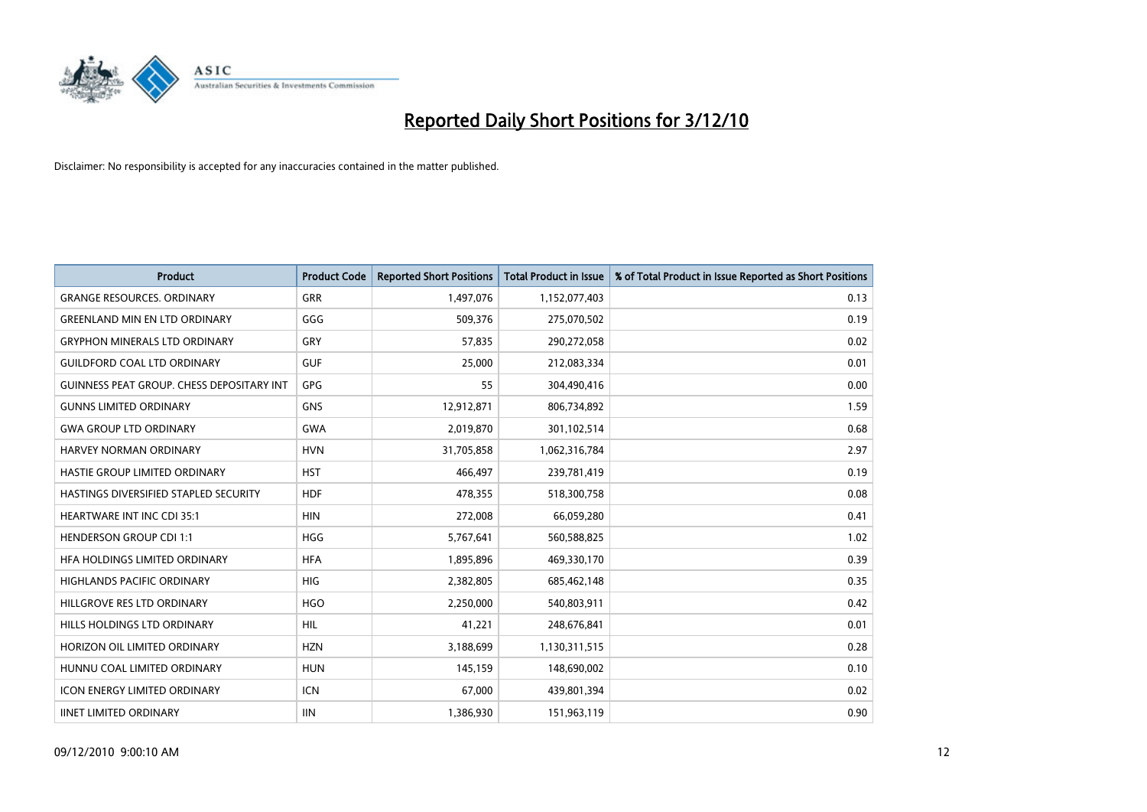

| <b>Product</b>                                   | <b>Product Code</b> | <b>Reported Short Positions</b> | <b>Total Product in Issue</b> | % of Total Product in Issue Reported as Short Positions |
|--------------------------------------------------|---------------------|---------------------------------|-------------------------------|---------------------------------------------------------|
| <b>GRANGE RESOURCES, ORDINARY</b>                | GRR                 | 1,497,076                       | 1,152,077,403                 | 0.13                                                    |
| <b>GREENLAND MIN EN LTD ORDINARY</b>             | GGG                 | 509,376                         | 275,070,502                   | 0.19                                                    |
| <b>GRYPHON MINERALS LTD ORDINARY</b>             | GRY                 | 57,835                          | 290,272,058                   | 0.02                                                    |
| <b>GUILDFORD COAL LTD ORDINARY</b>               | <b>GUF</b>          | 25,000                          | 212,083,334                   | 0.01                                                    |
| <b>GUINNESS PEAT GROUP. CHESS DEPOSITARY INT</b> | <b>GPG</b>          | 55                              | 304,490,416                   | 0.00                                                    |
| <b>GUNNS LIMITED ORDINARY</b>                    | <b>GNS</b>          | 12,912,871                      | 806,734,892                   | 1.59                                                    |
| <b>GWA GROUP LTD ORDINARY</b>                    | <b>GWA</b>          | 2,019,870                       | 301,102,514                   | 0.68                                                    |
| <b>HARVEY NORMAN ORDINARY</b>                    | <b>HVN</b>          | 31,705,858                      | 1,062,316,784                 | 2.97                                                    |
| HASTIE GROUP LIMITED ORDINARY                    | <b>HST</b>          | 466,497                         | 239,781,419                   | 0.19                                                    |
| HASTINGS DIVERSIFIED STAPLED SECURITY            | <b>HDF</b>          | 478,355                         | 518,300,758                   | 0.08                                                    |
| <b>HEARTWARE INT INC CDI 35:1</b>                | <b>HIN</b>          | 272,008                         | 66,059,280                    | 0.41                                                    |
| <b>HENDERSON GROUP CDI 1:1</b>                   | <b>HGG</b>          | 5,767,641                       | 560,588,825                   | 1.02                                                    |
| HEA HOLDINGS LIMITED ORDINARY                    | <b>HFA</b>          | 1,895,896                       | 469,330,170                   | 0.39                                                    |
| <b>HIGHLANDS PACIFIC ORDINARY</b>                | <b>HIG</b>          | 2,382,805                       | 685,462,148                   | 0.35                                                    |
| HILLGROVE RES LTD ORDINARY                       | <b>HGO</b>          | 2,250,000                       | 540,803,911                   | 0.42                                                    |
| HILLS HOLDINGS LTD ORDINARY                      | HIL                 | 41,221                          | 248,676,841                   | 0.01                                                    |
| HORIZON OIL LIMITED ORDINARY                     | <b>HZN</b>          | 3,188,699                       | 1,130,311,515                 | 0.28                                                    |
| HUNNU COAL LIMITED ORDINARY                      | <b>HUN</b>          | 145,159                         | 148,690,002                   | 0.10                                                    |
| <b>ICON ENERGY LIMITED ORDINARY</b>              | <b>ICN</b>          | 67,000                          | 439,801,394                   | 0.02                                                    |
| <b>IINET LIMITED ORDINARY</b>                    | <b>IIN</b>          | 1,386,930                       | 151,963,119                   | 0.90                                                    |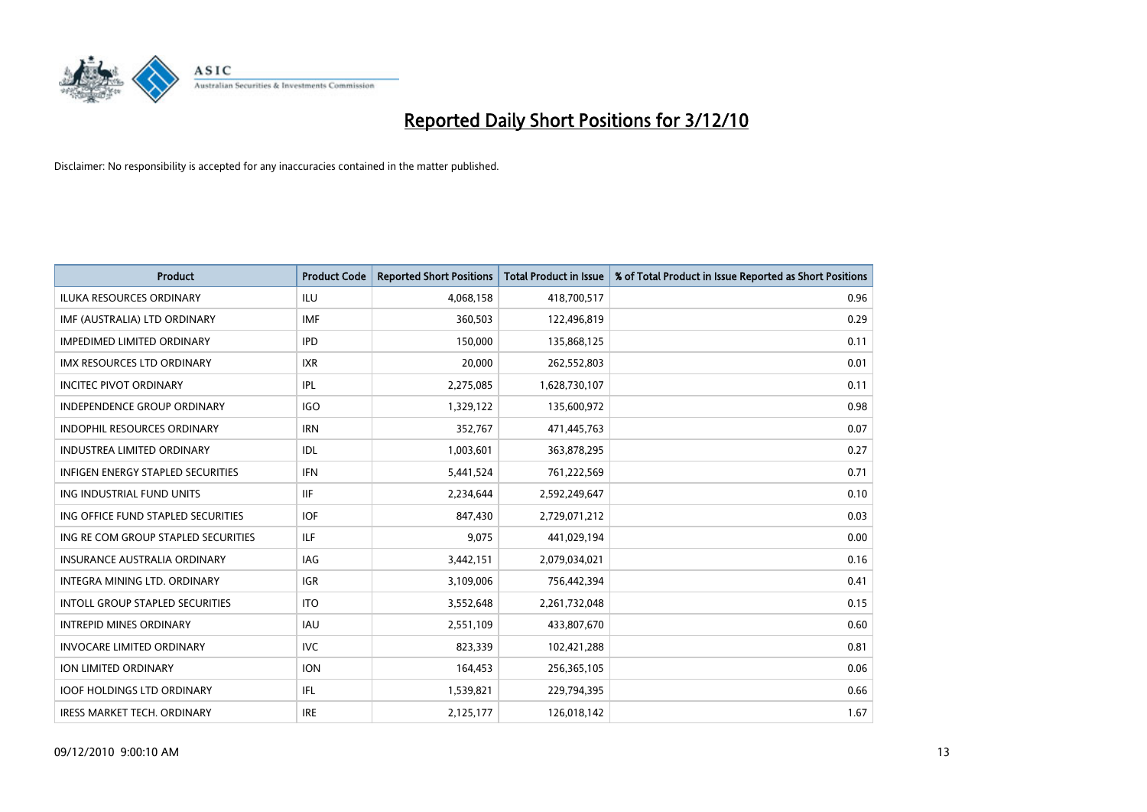

| <b>Product</b>                           | <b>Product Code</b> | <b>Reported Short Positions</b> | <b>Total Product in Issue</b> | % of Total Product in Issue Reported as Short Positions |
|------------------------------------------|---------------------|---------------------------------|-------------------------------|---------------------------------------------------------|
| <b>ILUKA RESOURCES ORDINARY</b>          | ILU                 | 4,068,158                       | 418,700,517                   | 0.96                                                    |
| IMF (AUSTRALIA) LTD ORDINARY             | <b>IMF</b>          | 360,503                         | 122,496,819                   | 0.29                                                    |
| <b>IMPEDIMED LIMITED ORDINARY</b>        | <b>IPD</b>          | 150,000                         | 135,868,125                   | 0.11                                                    |
| IMX RESOURCES LTD ORDINARY               | <b>IXR</b>          | 20,000                          | 262,552,803                   | 0.01                                                    |
| <b>INCITEC PIVOT ORDINARY</b>            | IPL                 | 2,275,085                       | 1,628,730,107                 | 0.11                                                    |
| <b>INDEPENDENCE GROUP ORDINARY</b>       | <b>IGO</b>          | 1,329,122                       | 135,600,972                   | 0.98                                                    |
| <b>INDOPHIL RESOURCES ORDINARY</b>       | <b>IRN</b>          | 352.767                         | 471,445,763                   | 0.07                                                    |
| <b>INDUSTREA LIMITED ORDINARY</b>        | IDL                 | 1,003,601                       | 363,878,295                   | 0.27                                                    |
| <b>INFIGEN ENERGY STAPLED SECURITIES</b> | <b>IFN</b>          | 5,441,524                       | 761,222,569                   | 0.71                                                    |
| ING INDUSTRIAL FUND UNITS                | <b>IIF</b>          | 2,234,644                       | 2,592,249,647                 | 0.10                                                    |
| ING OFFICE FUND STAPLED SECURITIES       | <b>IOF</b>          | 847,430                         | 2,729,071,212                 | 0.03                                                    |
| ING RE COM GROUP STAPLED SECURITIES      | <b>ILF</b>          | 9,075                           | 441,029,194                   | 0.00                                                    |
| <b>INSURANCE AUSTRALIA ORDINARY</b>      | IAG                 | 3,442,151                       | 2,079,034,021                 | 0.16                                                    |
| INTEGRA MINING LTD, ORDINARY             | <b>IGR</b>          | 3,109,006                       | 756,442,394                   | 0.41                                                    |
| <b>INTOLL GROUP STAPLED SECURITIES</b>   | <b>ITO</b>          | 3,552,648                       | 2,261,732,048                 | 0.15                                                    |
| <b>INTREPID MINES ORDINARY</b>           | <b>IAU</b>          | 2,551,109                       | 433,807,670                   | 0.60                                                    |
| <b>INVOCARE LIMITED ORDINARY</b>         | <b>IVC</b>          | 823,339                         | 102,421,288                   | 0.81                                                    |
| ION LIMITED ORDINARY                     | <b>ION</b>          | 164,453                         | 256,365,105                   | 0.06                                                    |
| <b>IOOF HOLDINGS LTD ORDINARY</b>        | IFL.                | 1,539,821                       | 229,794,395                   | 0.66                                                    |
| IRESS MARKET TECH. ORDINARY              | <b>IRE</b>          | 2,125,177                       | 126,018,142                   | 1.67                                                    |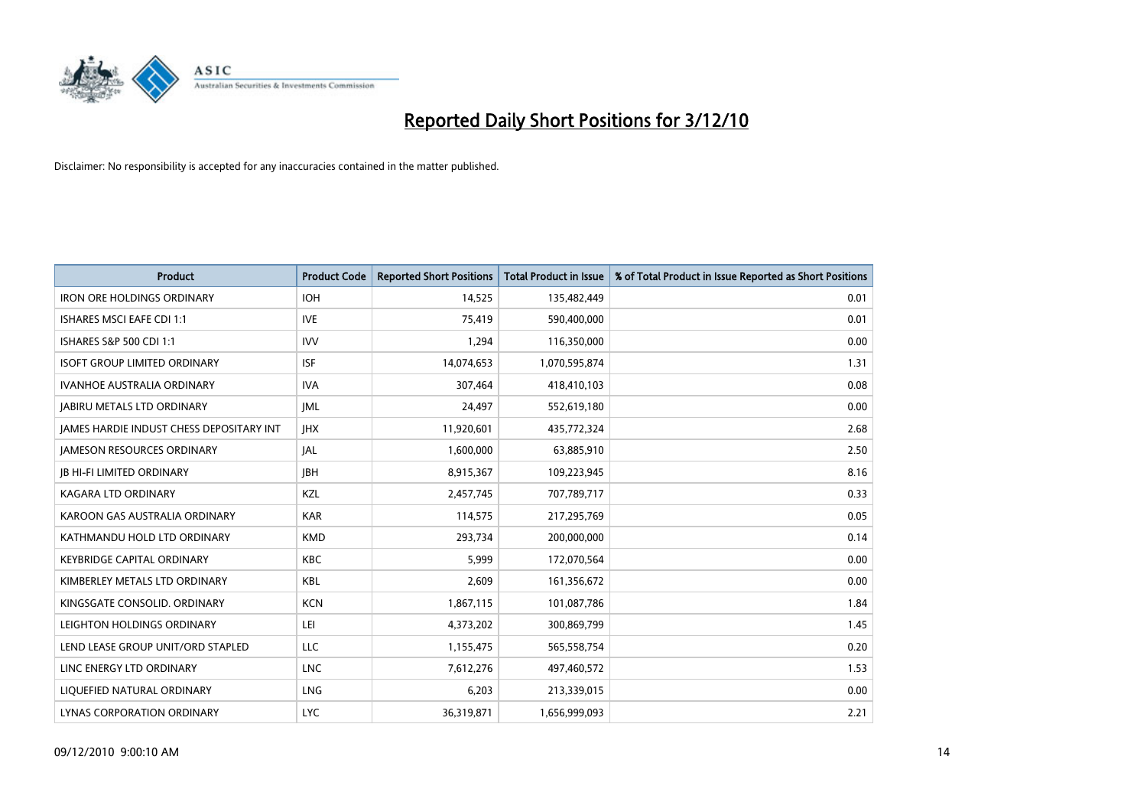

| <b>Product</b>                           | <b>Product Code</b> | <b>Reported Short Positions</b> | <b>Total Product in Issue</b> | % of Total Product in Issue Reported as Short Positions |
|------------------------------------------|---------------------|---------------------------------|-------------------------------|---------------------------------------------------------|
| <b>IRON ORE HOLDINGS ORDINARY</b>        | <b>IOH</b>          | 14,525                          | 135,482,449                   | 0.01                                                    |
| ISHARES MSCI EAFE CDI 1:1                | <b>IVE</b>          | 75,419                          | 590,400,000                   | 0.01                                                    |
| ISHARES S&P 500 CDI 1:1                  | <b>IVV</b>          | 1,294                           | 116,350,000                   | 0.00                                                    |
| <b>ISOFT GROUP LIMITED ORDINARY</b>      | <b>ISF</b>          | 14,074,653                      | 1,070,595,874                 | 1.31                                                    |
| <b>IVANHOE AUSTRALIA ORDINARY</b>        | <b>IVA</b>          | 307,464                         | 418,410,103                   | 0.08                                                    |
| <b>JABIRU METALS LTD ORDINARY</b>        | <b>IML</b>          | 24,497                          | 552,619,180                   | 0.00                                                    |
| JAMES HARDIE INDUST CHESS DEPOSITARY INT | <b>JHX</b>          | 11,920,601                      | 435,772,324                   | 2.68                                                    |
| JAMESON RESOURCES ORDINARY               | JAL                 | 1,600,000                       | 63,885,910                    | 2.50                                                    |
| <b>JB HI-FI LIMITED ORDINARY</b>         | <b>IBH</b>          | 8,915,367                       | 109,223,945                   | 8.16                                                    |
| <b>KAGARA LTD ORDINARY</b>               | KZL                 | 2,457,745                       | 707,789,717                   | 0.33                                                    |
| KAROON GAS AUSTRALIA ORDINARY            | <b>KAR</b>          | 114,575                         | 217,295,769                   | 0.05                                                    |
| KATHMANDU HOLD LTD ORDINARY              | <b>KMD</b>          | 293,734                         | 200,000,000                   | 0.14                                                    |
| <b>KEYBRIDGE CAPITAL ORDINARY</b>        | <b>KBC</b>          | 5,999                           | 172,070,564                   | 0.00                                                    |
| KIMBERLEY METALS LTD ORDINARY            | <b>KBL</b>          | 2,609                           | 161,356,672                   | 0.00                                                    |
| KINGSGATE CONSOLID. ORDINARY             | <b>KCN</b>          | 1,867,115                       | 101,087,786                   | 1.84                                                    |
| LEIGHTON HOLDINGS ORDINARY               | LEI                 | 4,373,202                       | 300,869,799                   | 1.45                                                    |
| LEND LEASE GROUP UNIT/ORD STAPLED        | <b>LLC</b>          | 1,155,475                       | 565,558,754                   | 0.20                                                    |
| LINC ENERGY LTD ORDINARY                 | <b>LNC</b>          | 7,612,276                       | 497,460,572                   | 1.53                                                    |
| LIQUEFIED NATURAL ORDINARY               | LNG                 | 6,203                           | 213,339,015                   | 0.00                                                    |
| LYNAS CORPORATION ORDINARY               | <b>LYC</b>          | 36,319,871                      | 1,656,999,093                 | 2.21                                                    |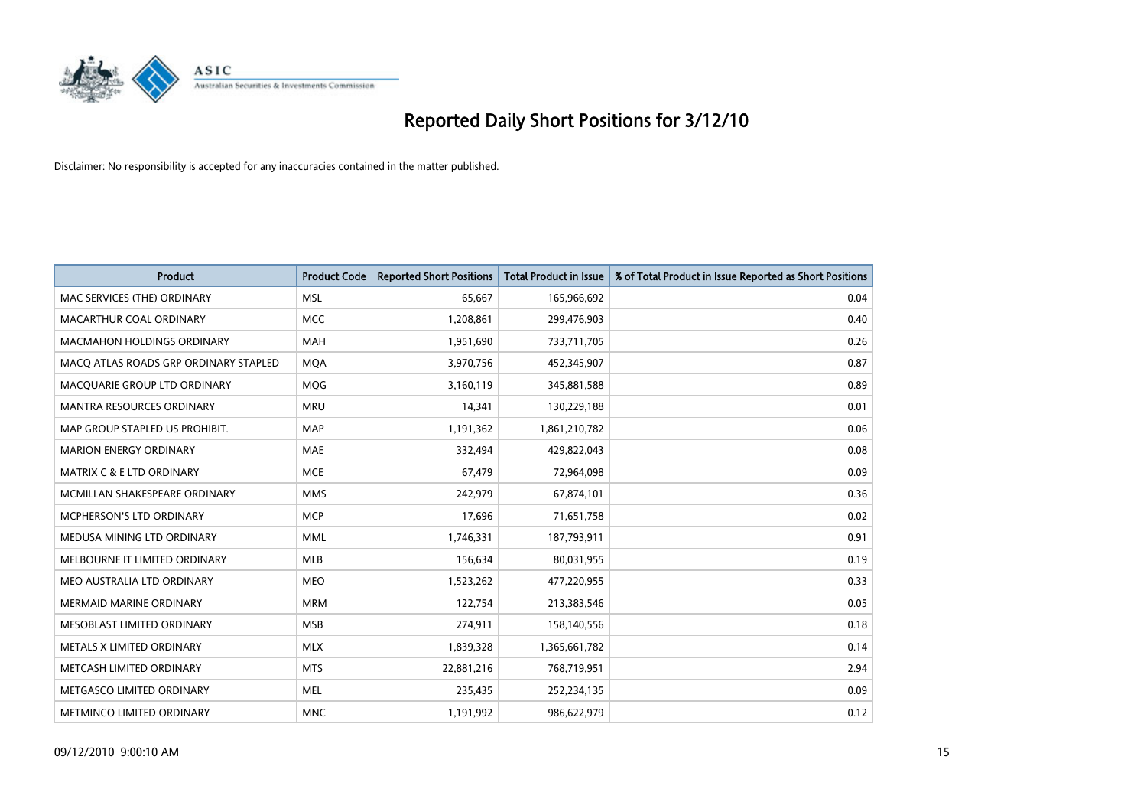

| <b>Product</b>                        | <b>Product Code</b> | <b>Reported Short Positions</b> | <b>Total Product in Issue</b> | % of Total Product in Issue Reported as Short Positions |
|---------------------------------------|---------------------|---------------------------------|-------------------------------|---------------------------------------------------------|
| MAC SERVICES (THE) ORDINARY           | <b>MSL</b>          | 65.667                          | 165,966,692                   | 0.04                                                    |
| MACARTHUR COAL ORDINARY               | <b>MCC</b>          | 1,208,861                       | 299,476,903                   | 0.40                                                    |
| <b>MACMAHON HOLDINGS ORDINARY</b>     | <b>MAH</b>          | 1,951,690                       | 733,711,705                   | 0.26                                                    |
| MACO ATLAS ROADS GRP ORDINARY STAPLED | <b>MOA</b>          | 3,970,756                       | 452,345,907                   | 0.87                                                    |
| MACQUARIE GROUP LTD ORDINARY          | <b>MOG</b>          | 3,160,119                       | 345,881,588                   | 0.89                                                    |
| <b>MANTRA RESOURCES ORDINARY</b>      | <b>MRU</b>          | 14,341                          | 130,229,188                   | 0.01                                                    |
| MAP GROUP STAPLED US PROHIBIT.        | <b>MAP</b>          | 1,191,362                       | 1,861,210,782                 | 0.06                                                    |
| <b>MARION ENERGY ORDINARY</b>         | <b>MAE</b>          | 332.494                         | 429,822,043                   | 0.08                                                    |
| MATRIX C & E LTD ORDINARY             | <b>MCE</b>          | 67,479                          | 72,964,098                    | 0.09                                                    |
| MCMILLAN SHAKESPEARE ORDINARY         | <b>MMS</b>          | 242,979                         | 67,874,101                    | 0.36                                                    |
| <b>MCPHERSON'S LTD ORDINARY</b>       | <b>MCP</b>          | 17,696                          | 71,651,758                    | 0.02                                                    |
| MEDUSA MINING LTD ORDINARY            | <b>MML</b>          | 1,746,331                       | 187,793,911                   | 0.91                                                    |
| MELBOURNE IT LIMITED ORDINARY         | <b>MLB</b>          | 156,634                         | 80,031,955                    | 0.19                                                    |
| MEO AUSTRALIA LTD ORDINARY            | <b>MEO</b>          | 1,523,262                       | 477,220,955                   | 0.33                                                    |
| <b>MERMAID MARINE ORDINARY</b>        | <b>MRM</b>          | 122,754                         | 213,383,546                   | 0.05                                                    |
| <b>MESOBLAST LIMITED ORDINARY</b>     | <b>MSB</b>          | 274,911                         | 158,140,556                   | 0.18                                                    |
| METALS X LIMITED ORDINARY             | <b>MLX</b>          | 1,839,328                       | 1,365,661,782                 | 0.14                                                    |
| METCASH LIMITED ORDINARY              | <b>MTS</b>          | 22,881,216                      | 768,719,951                   | 2.94                                                    |
| METGASCO LIMITED ORDINARY             | <b>MEL</b>          | 235,435                         | 252,234,135                   | 0.09                                                    |
| METMINCO LIMITED ORDINARY             | <b>MNC</b>          | 1,191,992                       | 986,622,979                   | 0.12                                                    |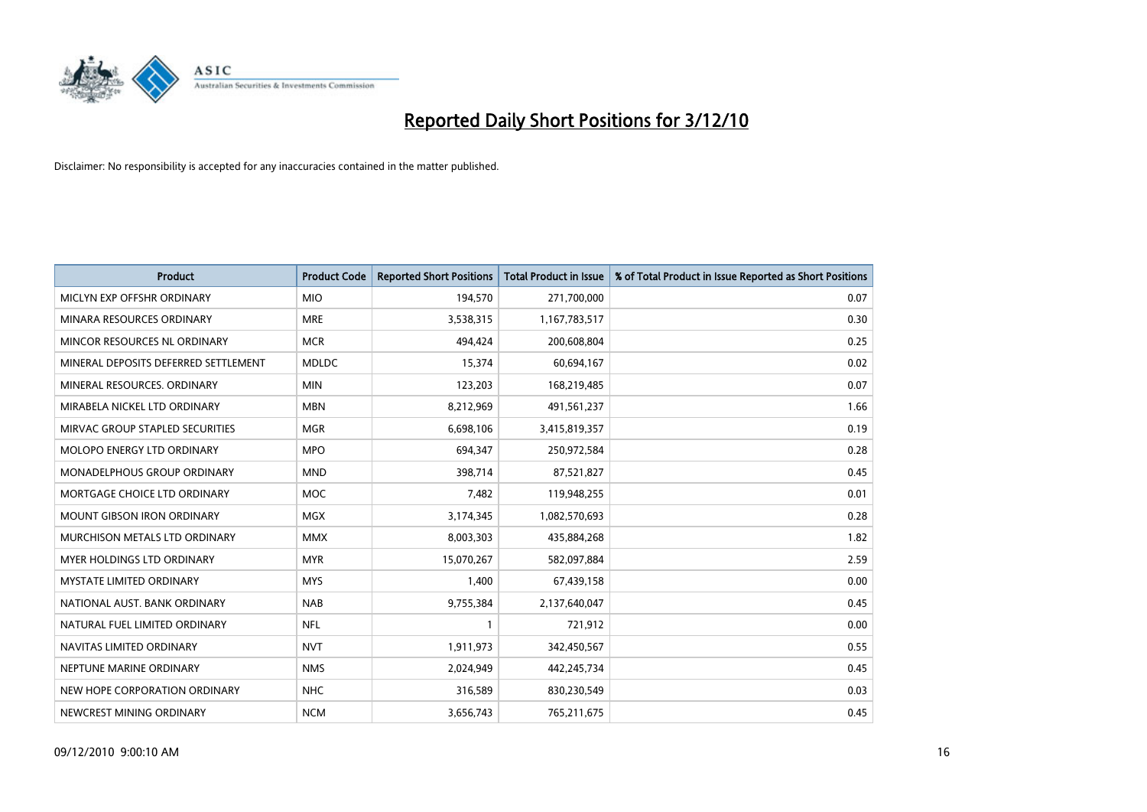

| <b>Product</b>                       | <b>Product Code</b> | <b>Reported Short Positions</b> | Total Product in Issue | % of Total Product in Issue Reported as Short Positions |
|--------------------------------------|---------------------|---------------------------------|------------------------|---------------------------------------------------------|
| MICLYN EXP OFFSHR ORDINARY           | <b>MIO</b>          | 194,570                         | 271,700,000            | 0.07                                                    |
| MINARA RESOURCES ORDINARY            | <b>MRE</b>          | 3,538,315                       | 1,167,783,517          | 0.30                                                    |
| MINCOR RESOURCES NL ORDINARY         | <b>MCR</b>          | 494,424                         | 200,608,804            | 0.25                                                    |
| MINERAL DEPOSITS DEFERRED SETTLEMENT | <b>MDLDC</b>        | 15,374                          | 60,694,167             | 0.02                                                    |
| MINERAL RESOURCES, ORDINARY          | <b>MIN</b>          | 123,203                         | 168,219,485            | 0.07                                                    |
| MIRABELA NICKEL LTD ORDINARY         | <b>MBN</b>          | 8,212,969                       | 491,561,237            | 1.66                                                    |
| MIRVAC GROUP STAPLED SECURITIES      | <b>MGR</b>          | 6,698,106                       | 3,415,819,357          | 0.19                                                    |
| <b>MOLOPO ENERGY LTD ORDINARY</b>    | <b>MPO</b>          | 694,347                         | 250,972,584            | 0.28                                                    |
| MONADELPHOUS GROUP ORDINARY          | <b>MND</b>          | 398,714                         | 87,521,827             | 0.45                                                    |
| MORTGAGE CHOICE LTD ORDINARY         | <b>MOC</b>          | 7,482                           | 119,948,255            | 0.01                                                    |
| <b>MOUNT GIBSON IRON ORDINARY</b>    | <b>MGX</b>          | 3,174,345                       | 1,082,570,693          | 0.28                                                    |
| MURCHISON METALS LTD ORDINARY        | <b>MMX</b>          | 8,003,303                       | 435,884,268            | 1.82                                                    |
| <b>MYER HOLDINGS LTD ORDINARY</b>    | <b>MYR</b>          | 15,070,267                      | 582,097,884            | 2.59                                                    |
| <b>MYSTATE LIMITED ORDINARY</b>      | <b>MYS</b>          | 1,400                           | 67,439,158             | 0.00                                                    |
| NATIONAL AUST. BANK ORDINARY         | <b>NAB</b>          | 9,755,384                       | 2,137,640,047          | 0.45                                                    |
| NATURAL FUEL LIMITED ORDINARY        | <b>NFL</b>          |                                 | 721,912                | 0.00                                                    |
| NAVITAS LIMITED ORDINARY             | <b>NVT</b>          | 1,911,973                       | 342,450,567            | 0.55                                                    |
| NEPTUNE MARINE ORDINARY              | <b>NMS</b>          | 2,024,949                       | 442,245,734            | 0.45                                                    |
| NEW HOPE CORPORATION ORDINARY        | <b>NHC</b>          | 316,589                         | 830,230,549            | 0.03                                                    |
| NEWCREST MINING ORDINARY             | <b>NCM</b>          | 3,656,743                       | 765,211,675            | 0.45                                                    |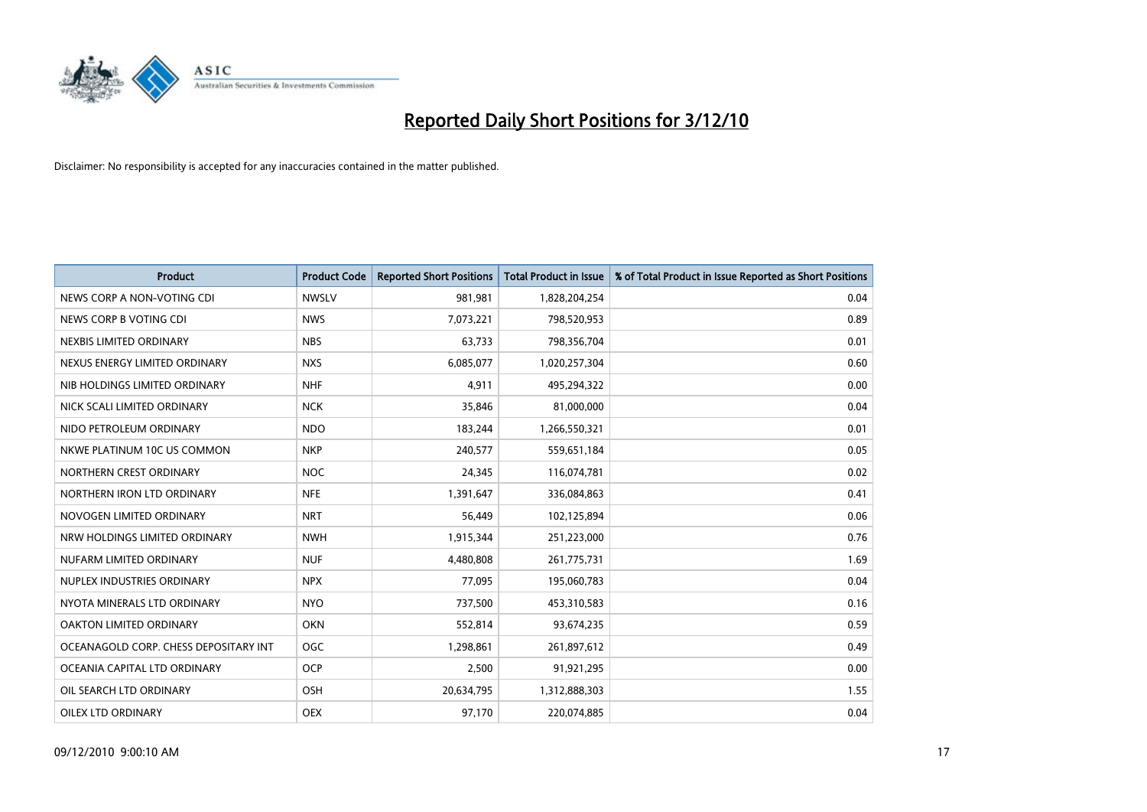

| <b>Product</b>                        | <b>Product Code</b> | <b>Reported Short Positions</b> | Total Product in Issue | % of Total Product in Issue Reported as Short Positions |
|---------------------------------------|---------------------|---------------------------------|------------------------|---------------------------------------------------------|
| NEWS CORP A NON-VOTING CDI            | <b>NWSLV</b>        | 981,981                         | 1,828,204,254          | 0.04                                                    |
| NEWS CORP B VOTING CDI                | <b>NWS</b>          | 7,073,221                       | 798,520,953            | 0.89                                                    |
| NEXBIS LIMITED ORDINARY               | <b>NBS</b>          | 63,733                          | 798,356,704            | 0.01                                                    |
| NEXUS ENERGY LIMITED ORDINARY         | <b>NXS</b>          | 6,085,077                       | 1,020,257,304          | 0.60                                                    |
| NIB HOLDINGS LIMITED ORDINARY         | <b>NHF</b>          | 4,911                           | 495,294,322            | 0.00                                                    |
| NICK SCALI LIMITED ORDINARY           | <b>NCK</b>          | 35,846                          | 81,000,000             | 0.04                                                    |
| NIDO PETROLEUM ORDINARY               | <b>NDO</b>          | 183,244                         | 1,266,550,321          | 0.01                                                    |
| NKWE PLATINUM 10C US COMMON           | <b>NKP</b>          | 240,577                         | 559,651,184            | 0.05                                                    |
| NORTHERN CREST ORDINARY               | <b>NOC</b>          | 24,345                          | 116,074,781            | 0.02                                                    |
| NORTHERN IRON LTD ORDINARY            | <b>NFE</b>          | 1,391,647                       | 336,084,863            | 0.41                                                    |
| NOVOGEN LIMITED ORDINARY              | <b>NRT</b>          | 56,449                          | 102,125,894            | 0.06                                                    |
| NRW HOLDINGS LIMITED ORDINARY         | <b>NWH</b>          | 1,915,344                       | 251,223,000            | 0.76                                                    |
| NUFARM LIMITED ORDINARY               | <b>NUF</b>          | 4,480,808                       | 261,775,731            | 1.69                                                    |
| NUPLEX INDUSTRIES ORDINARY            | <b>NPX</b>          | 77,095                          | 195,060,783            | 0.04                                                    |
| NYOTA MINERALS LTD ORDINARY           | <b>NYO</b>          | 737,500                         | 453,310,583            | 0.16                                                    |
| OAKTON LIMITED ORDINARY               | <b>OKN</b>          | 552,814                         | 93,674,235             | 0.59                                                    |
| OCEANAGOLD CORP. CHESS DEPOSITARY INT | <b>OGC</b>          | 1,298,861                       | 261,897,612            | 0.49                                                    |
| OCEANIA CAPITAL LTD ORDINARY          | <b>OCP</b>          | 2,500                           | 91,921,295             | 0.00                                                    |
| OIL SEARCH LTD ORDINARY               | OSH                 | 20,634,795                      | 1,312,888,303          | 1.55                                                    |
| <b>OILEX LTD ORDINARY</b>             | <b>OEX</b>          | 97,170                          | 220,074,885            | 0.04                                                    |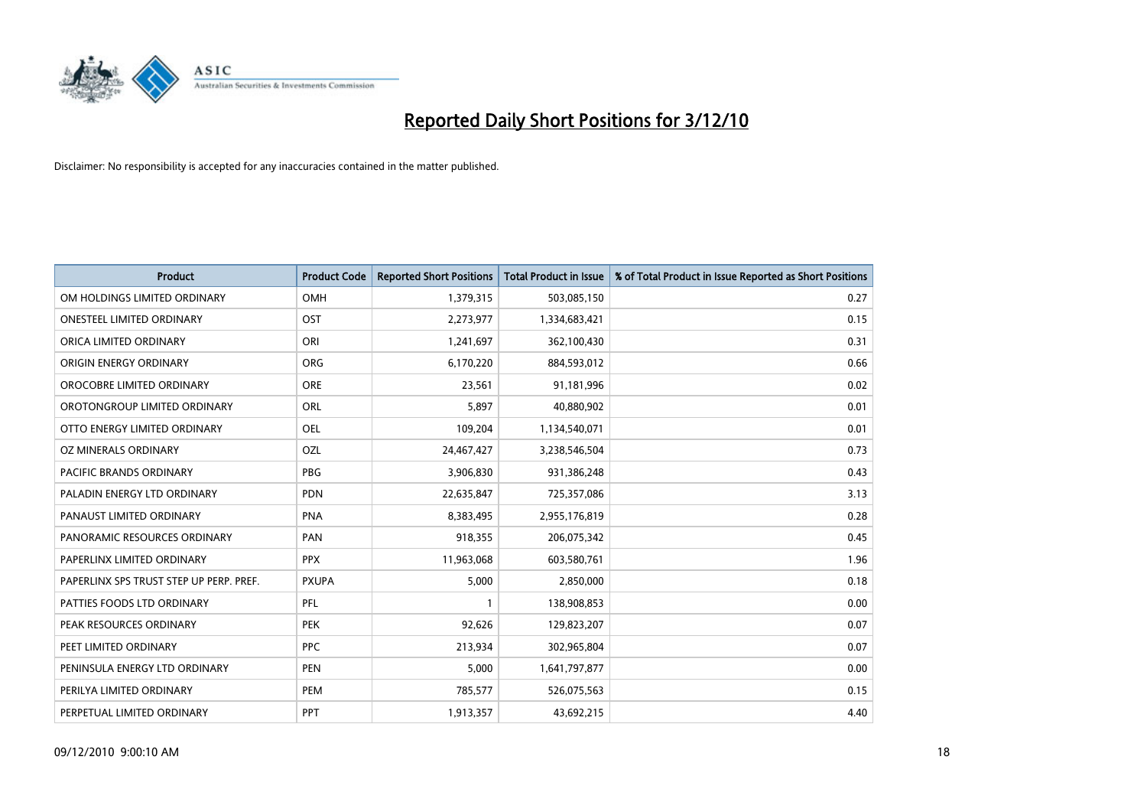

| <b>Product</b>                          | <b>Product Code</b> | <b>Reported Short Positions</b> | Total Product in Issue | % of Total Product in Issue Reported as Short Positions |
|-----------------------------------------|---------------------|---------------------------------|------------------------|---------------------------------------------------------|
| OM HOLDINGS LIMITED ORDINARY            | OMH                 | 1,379,315                       | 503,085,150            | 0.27                                                    |
| <b>ONESTEEL LIMITED ORDINARY</b>        | OST                 | 2,273,977                       | 1,334,683,421          | 0.15                                                    |
| ORICA LIMITED ORDINARY                  | ORI                 | 1,241,697                       | 362,100,430            | 0.31                                                    |
| ORIGIN ENERGY ORDINARY                  | <b>ORG</b>          | 6,170,220                       | 884,593,012            | 0.66                                                    |
| OROCOBRE LIMITED ORDINARY               | <b>ORE</b>          | 23,561                          | 91,181,996             | 0.02                                                    |
| OROTONGROUP LIMITED ORDINARY            | ORL                 | 5,897                           | 40,880,902             | 0.01                                                    |
| OTTO ENERGY LIMITED ORDINARY            | <b>OEL</b>          | 109,204                         | 1,134,540,071          | 0.01                                                    |
| OZ MINERALS ORDINARY                    | OZL                 | 24,467,427                      | 3,238,546,504          | 0.73                                                    |
| PACIFIC BRANDS ORDINARY                 | <b>PBG</b>          | 3,906,830                       | 931,386,248            | 0.43                                                    |
| PALADIN ENERGY LTD ORDINARY             | <b>PDN</b>          | 22,635,847                      | 725,357,086            | 3.13                                                    |
| PANAUST LIMITED ORDINARY                | <b>PNA</b>          | 8,383,495                       | 2,955,176,819          | 0.28                                                    |
| PANORAMIC RESOURCES ORDINARY            | PAN                 | 918,355                         | 206,075,342            | 0.45                                                    |
| PAPERLINX LIMITED ORDINARY              | <b>PPX</b>          | 11,963,068                      | 603,580,761            | 1.96                                                    |
| PAPERLINX SPS TRUST STEP UP PERP. PREF. | <b>PXUPA</b>        | 5,000                           | 2,850,000              | 0.18                                                    |
| PATTIES FOODS LTD ORDINARY              | PFL                 |                                 | 138,908,853            | 0.00                                                    |
| PEAK RESOURCES ORDINARY                 | <b>PEK</b>          | 92,626                          | 129,823,207            | 0.07                                                    |
| PEET LIMITED ORDINARY                   | <b>PPC</b>          | 213,934                         | 302,965,804            | 0.07                                                    |
| PENINSULA ENERGY LTD ORDINARY           | <b>PEN</b>          | 5,000                           | 1,641,797,877          | 0.00                                                    |
| PERILYA LIMITED ORDINARY                | PEM                 | 785,577                         | 526,075,563            | 0.15                                                    |
| PERPETUAL LIMITED ORDINARY              | PPT                 | 1,913,357                       | 43,692,215             | 4.40                                                    |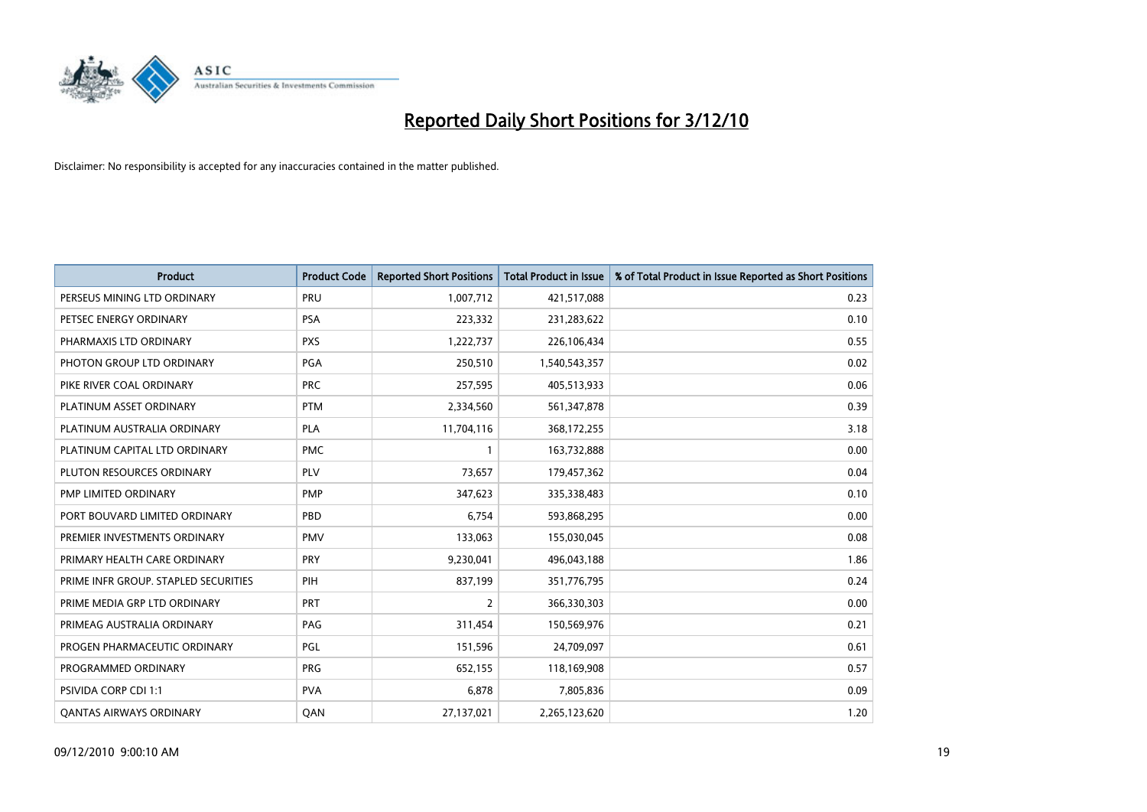

| <b>Product</b>                       | <b>Product Code</b> | <b>Reported Short Positions</b> | Total Product in Issue | % of Total Product in Issue Reported as Short Positions |
|--------------------------------------|---------------------|---------------------------------|------------------------|---------------------------------------------------------|
| PERSEUS MINING LTD ORDINARY          | PRU                 | 1,007,712                       | 421,517,088            | 0.23                                                    |
| PETSEC ENERGY ORDINARY               | <b>PSA</b>          | 223,332                         | 231,283,622            | 0.10                                                    |
| PHARMAXIS LTD ORDINARY               | <b>PXS</b>          | 1,222,737                       | 226,106,434            | 0.55                                                    |
| PHOTON GROUP LTD ORDINARY            | <b>PGA</b>          | 250,510                         | 1,540,543,357          | 0.02                                                    |
| PIKE RIVER COAL ORDINARY             | <b>PRC</b>          | 257,595                         | 405,513,933            | 0.06                                                    |
| PLATINUM ASSET ORDINARY              | <b>PTM</b>          | 2,334,560                       | 561,347,878            | 0.39                                                    |
| PLATINUM AUSTRALIA ORDINARY          | <b>PLA</b>          | 11,704,116                      | 368,172,255            | 3.18                                                    |
| PLATINUM CAPITAL LTD ORDINARY        | <b>PMC</b>          |                                 | 163,732,888            | 0.00                                                    |
| PLUTON RESOURCES ORDINARY            | PLV                 | 73,657                          | 179,457,362            | 0.04                                                    |
| <b>PMP LIMITED ORDINARY</b>          | <b>PMP</b>          | 347,623                         | 335,338,483            | 0.10                                                    |
| PORT BOUVARD LIMITED ORDINARY        | PBD                 | 6,754                           | 593,868,295            | 0.00                                                    |
| PREMIER INVESTMENTS ORDINARY         | <b>PMV</b>          | 133,063                         | 155,030,045            | 0.08                                                    |
| PRIMARY HEALTH CARE ORDINARY         | <b>PRY</b>          | 9,230,041                       | 496,043,188            | 1.86                                                    |
| PRIME INFR GROUP. STAPLED SECURITIES | PIH                 | 837,199                         | 351,776,795            | 0.24                                                    |
| PRIME MEDIA GRP LTD ORDINARY         | PRT                 | $\overline{2}$                  | 366,330,303            | 0.00                                                    |
| PRIMEAG AUSTRALIA ORDINARY           | PAG                 | 311,454                         | 150,569,976            | 0.21                                                    |
| PROGEN PHARMACEUTIC ORDINARY         | <b>PGL</b>          | 151,596                         | 24,709,097             | 0.61                                                    |
| PROGRAMMED ORDINARY                  | <b>PRG</b>          | 652,155                         | 118,169,908            | 0.57                                                    |
| PSIVIDA CORP CDI 1:1                 | <b>PVA</b>          | 6.878                           | 7,805,836              | 0.09                                                    |
| <b>OANTAS AIRWAYS ORDINARY</b>       | QAN                 | 27,137,021                      | 2,265,123,620          | 1.20                                                    |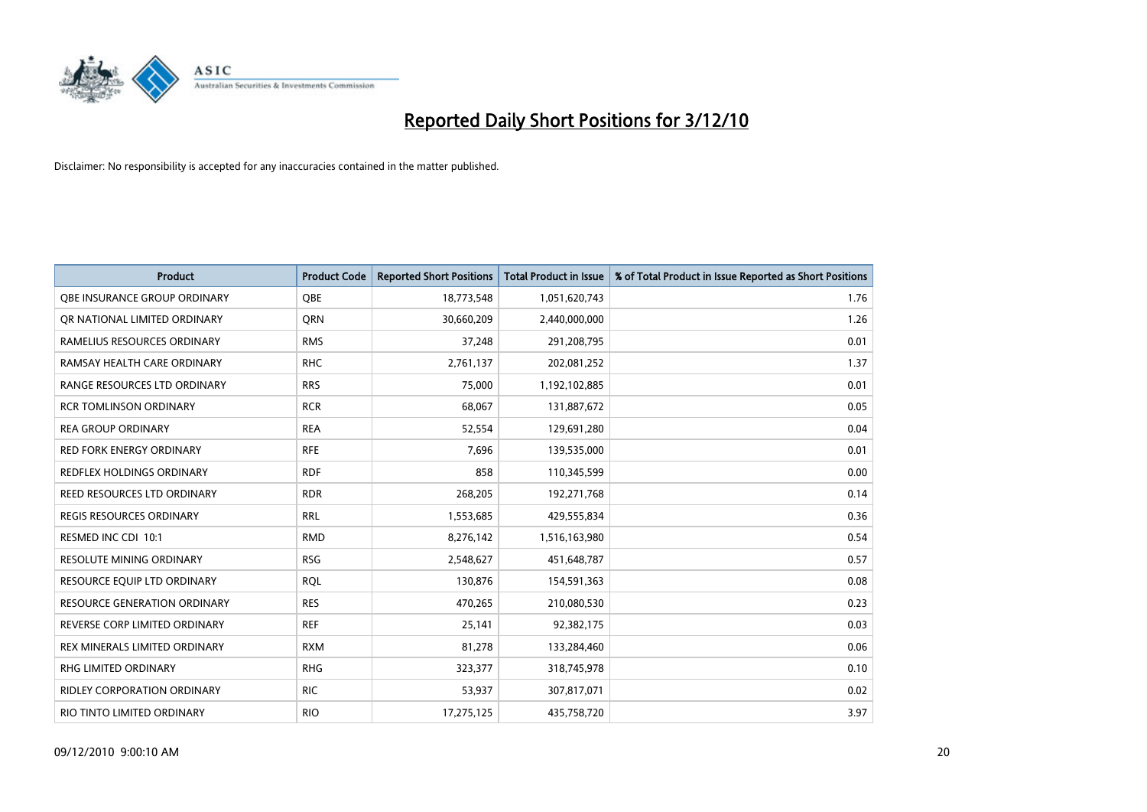

| <b>Product</b>                      | <b>Product Code</b> | <b>Reported Short Positions</b> | <b>Total Product in Issue</b> | % of Total Product in Issue Reported as Short Positions |
|-------------------------------------|---------------------|---------------------------------|-------------------------------|---------------------------------------------------------|
| OBE INSURANCE GROUP ORDINARY        | OBE                 | 18,773,548                      | 1,051,620,743                 | 1.76                                                    |
| OR NATIONAL LIMITED ORDINARY        | <b>ORN</b>          | 30,660,209                      | 2,440,000,000                 | 1.26                                                    |
| RAMELIUS RESOURCES ORDINARY         | <b>RMS</b>          | 37,248                          | 291,208,795                   | 0.01                                                    |
| RAMSAY HEALTH CARE ORDINARY         | <b>RHC</b>          | 2,761,137                       | 202,081,252                   | 1.37                                                    |
| RANGE RESOURCES LTD ORDINARY        | <b>RRS</b>          | 75,000                          | 1,192,102,885                 | 0.01                                                    |
| <b>RCR TOMLINSON ORDINARY</b>       | <b>RCR</b>          | 68,067                          | 131,887,672                   | 0.05                                                    |
| <b>REA GROUP ORDINARY</b>           | <b>REA</b>          | 52,554                          | 129,691,280                   | 0.04                                                    |
| <b>RED FORK ENERGY ORDINARY</b>     | <b>RFE</b>          | 7,696                           | 139,535,000                   | 0.01                                                    |
| REDFLEX HOLDINGS ORDINARY           | <b>RDF</b>          | 858                             | 110,345,599                   | 0.00                                                    |
| <b>REED RESOURCES LTD ORDINARY</b>  | <b>RDR</b>          | 268,205                         | 192,271,768                   | 0.14                                                    |
| <b>REGIS RESOURCES ORDINARY</b>     | <b>RRL</b>          | 1,553,685                       | 429,555,834                   | 0.36                                                    |
| RESMED INC CDI 10:1                 | <b>RMD</b>          | 8,276,142                       | 1,516,163,980                 | 0.54                                                    |
| <b>RESOLUTE MINING ORDINARY</b>     | <b>RSG</b>          | 2,548,627                       | 451,648,787                   | 0.57                                                    |
| RESOURCE EQUIP LTD ORDINARY         | <b>ROL</b>          | 130,876                         | 154,591,363                   | 0.08                                                    |
| <b>RESOURCE GENERATION ORDINARY</b> | <b>RES</b>          | 470,265                         | 210,080,530                   | 0.23                                                    |
| REVERSE CORP LIMITED ORDINARY       | <b>REF</b>          | 25,141                          | 92,382,175                    | 0.03                                                    |
| REX MINERALS LIMITED ORDINARY       | <b>RXM</b>          | 81,278                          | 133,284,460                   | 0.06                                                    |
| RHG LIMITED ORDINARY                | <b>RHG</b>          | 323,377                         | 318,745,978                   | 0.10                                                    |
| <b>RIDLEY CORPORATION ORDINARY</b>  | <b>RIC</b>          | 53,937                          | 307,817,071                   | 0.02                                                    |
| RIO TINTO LIMITED ORDINARY          | <b>RIO</b>          | 17,275,125                      | 435,758,720                   | 3.97                                                    |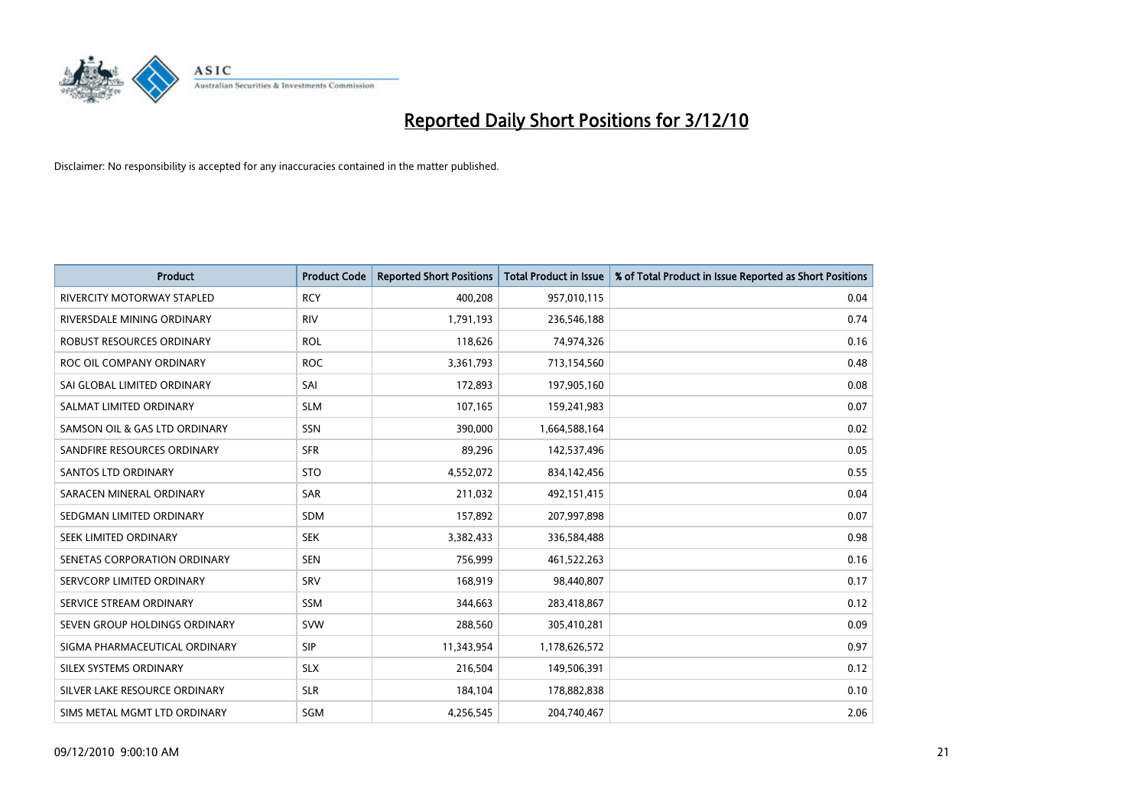

| <b>Product</b>                    | <b>Product Code</b> | <b>Reported Short Positions</b> | <b>Total Product in Issue</b> | % of Total Product in Issue Reported as Short Positions |
|-----------------------------------|---------------------|---------------------------------|-------------------------------|---------------------------------------------------------|
| <b>RIVERCITY MOTORWAY STAPLED</b> | <b>RCY</b>          | 400,208                         | 957,010,115                   | 0.04                                                    |
| RIVERSDALE MINING ORDINARY        | <b>RIV</b>          | 1,791,193                       | 236,546,188                   | 0.74                                                    |
| ROBUST RESOURCES ORDINARY         | <b>ROL</b>          | 118,626                         | 74,974,326                    | 0.16                                                    |
| ROC OIL COMPANY ORDINARY          | <b>ROC</b>          | 3,361,793                       | 713,154,560                   | 0.48                                                    |
| SAI GLOBAL LIMITED ORDINARY       | SAI                 | 172,893                         | 197,905,160                   | 0.08                                                    |
| SALMAT LIMITED ORDINARY           | <b>SLM</b>          | 107,165                         | 159,241,983                   | 0.07                                                    |
| SAMSON OIL & GAS LTD ORDINARY     | SSN                 | 390.000                         | 1,664,588,164                 | 0.02                                                    |
| SANDFIRE RESOURCES ORDINARY       | <b>SFR</b>          | 89,296                          | 142,537,496                   | 0.05                                                    |
| <b>SANTOS LTD ORDINARY</b>        | <b>STO</b>          | 4,552,072                       | 834,142,456                   | 0.55                                                    |
| SARACEN MINERAL ORDINARY          | <b>SAR</b>          | 211,032                         | 492,151,415                   | 0.04                                                    |
| SEDGMAN LIMITED ORDINARY          | <b>SDM</b>          | 157,892                         | 207,997,898                   | 0.07                                                    |
| SEEK LIMITED ORDINARY             | <b>SEK</b>          | 3,382,433                       | 336,584,488                   | 0.98                                                    |
| SENETAS CORPORATION ORDINARY      | <b>SEN</b>          | 756,999                         | 461,522,263                   | 0.16                                                    |
| SERVCORP LIMITED ORDINARY         | SRV                 | 168,919                         | 98,440,807                    | 0.17                                                    |
| SERVICE STREAM ORDINARY           | <b>SSM</b>          | 344,663                         | 283,418,867                   | 0.12                                                    |
| SEVEN GROUP HOLDINGS ORDINARY     | <b>SVW</b>          | 288,560                         | 305,410,281                   | 0.09                                                    |
| SIGMA PHARMACEUTICAL ORDINARY     | SIP                 | 11,343,954                      | 1,178,626,572                 | 0.97                                                    |
| SILEX SYSTEMS ORDINARY            | <b>SLX</b>          | 216,504                         | 149,506,391                   | 0.12                                                    |
| SILVER LAKE RESOURCE ORDINARY     | <b>SLR</b>          | 184,104                         | 178,882,838                   | 0.10                                                    |
| SIMS METAL MGMT LTD ORDINARY      | <b>SGM</b>          | 4,256,545                       | 204,740,467                   | 2.06                                                    |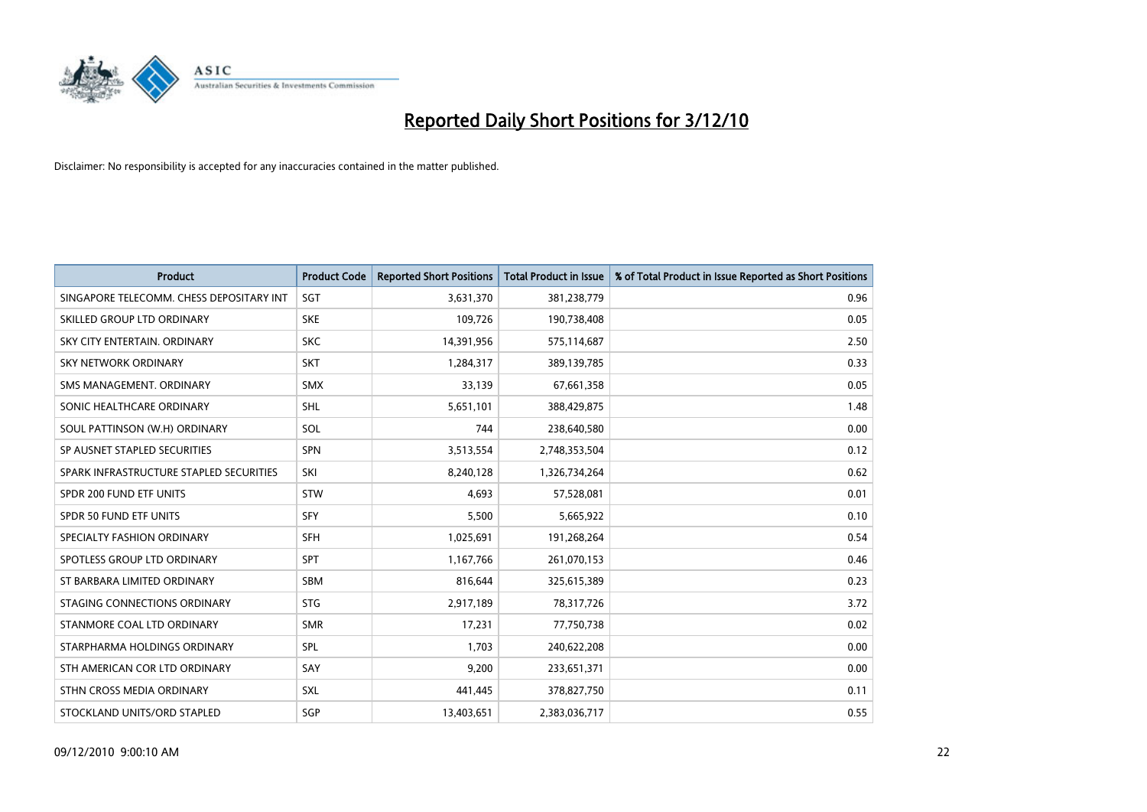

| <b>Product</b>                           | <b>Product Code</b> | <b>Reported Short Positions</b> | <b>Total Product in Issue</b> | % of Total Product in Issue Reported as Short Positions |
|------------------------------------------|---------------------|---------------------------------|-------------------------------|---------------------------------------------------------|
| SINGAPORE TELECOMM. CHESS DEPOSITARY INT | SGT                 | 3,631,370                       | 381,238,779                   | 0.96                                                    |
| SKILLED GROUP LTD ORDINARY               | <b>SKE</b>          | 109,726                         | 190,738,408                   | 0.05                                                    |
| SKY CITY ENTERTAIN, ORDINARY             | <b>SKC</b>          | 14,391,956                      | 575,114,687                   | 2.50                                                    |
| SKY NETWORK ORDINARY                     | <b>SKT</b>          | 1,284,317                       | 389,139,785                   | 0.33                                                    |
| SMS MANAGEMENT, ORDINARY                 | <b>SMX</b>          | 33,139                          | 67,661,358                    | 0.05                                                    |
| SONIC HEALTHCARE ORDINARY                | <b>SHL</b>          | 5,651,101                       | 388,429,875                   | 1.48                                                    |
| SOUL PATTINSON (W.H) ORDINARY            | SOL                 | 744                             | 238,640,580                   | 0.00                                                    |
| SP AUSNET STAPLED SECURITIES             | SPN                 | 3,513,554                       | 2,748,353,504                 | 0.12                                                    |
| SPARK INFRASTRUCTURE STAPLED SECURITIES  | SKI                 | 8,240,128                       | 1,326,734,264                 | 0.62                                                    |
| SPDR 200 FUND ETF UNITS                  | STW                 | 4,693                           | 57,528,081                    | 0.01                                                    |
| <b>SPDR 50 FUND ETF UNITS</b>            | SFY                 | 5,500                           | 5,665,922                     | 0.10                                                    |
| SPECIALTY FASHION ORDINARY               | <b>SFH</b>          | 1,025,691                       | 191,268,264                   | 0.54                                                    |
| SPOTLESS GROUP LTD ORDINARY              | SPT                 | 1,167,766                       | 261,070,153                   | 0.46                                                    |
| ST BARBARA LIMITED ORDINARY              | <b>SBM</b>          | 816,644                         | 325,615,389                   | 0.23                                                    |
| STAGING CONNECTIONS ORDINARY             | <b>STG</b>          | 2,917,189                       | 78,317,726                    | 3.72                                                    |
| STANMORE COAL LTD ORDINARY               | <b>SMR</b>          | 17,231                          | 77,750,738                    | 0.02                                                    |
| STARPHARMA HOLDINGS ORDINARY             | SPL                 | 1.703                           | 240,622,208                   | 0.00                                                    |
| STH AMERICAN COR LTD ORDINARY            | SAY                 | 9,200                           | 233,651,371                   | 0.00                                                    |
| STHN CROSS MEDIA ORDINARY                | <b>SXL</b>          | 441,445                         | 378,827,750                   | 0.11                                                    |
| STOCKLAND UNITS/ORD STAPLED              | SGP                 | 13,403,651                      | 2,383,036,717                 | 0.55                                                    |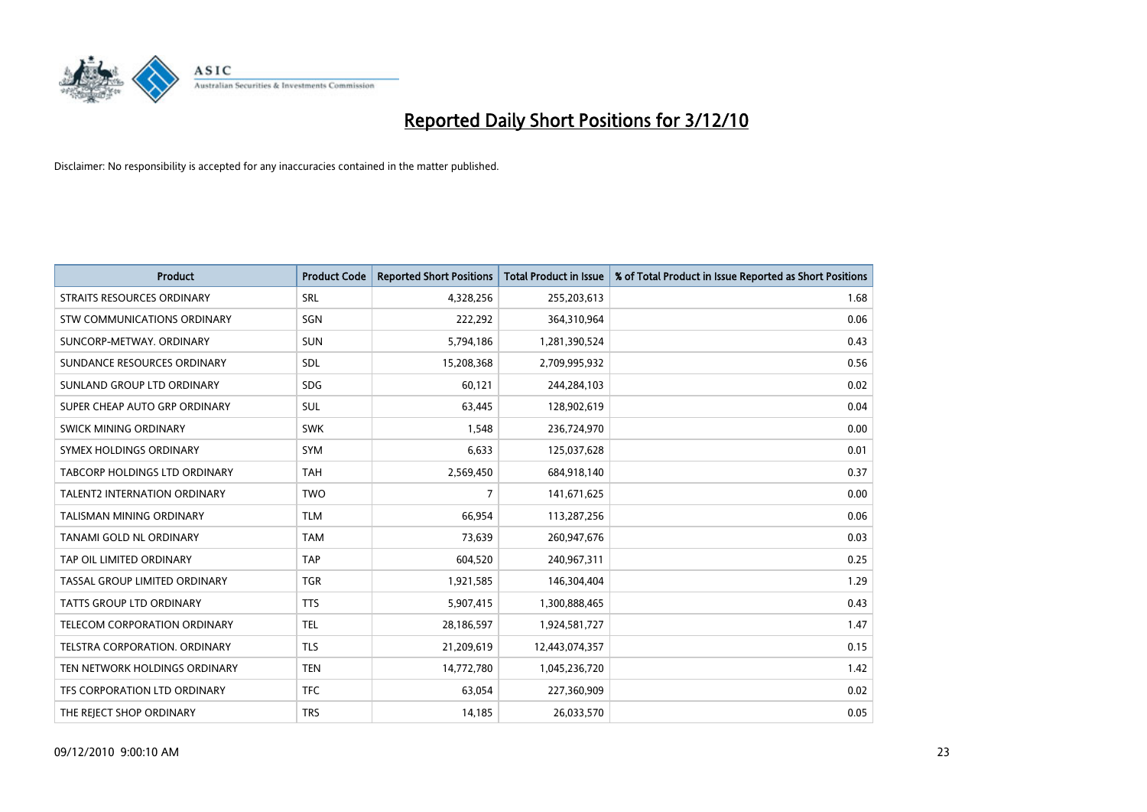

| <b>Product</b>                      | <b>Product Code</b> | <b>Reported Short Positions</b> | <b>Total Product in Issue</b> | % of Total Product in Issue Reported as Short Positions |
|-------------------------------------|---------------------|---------------------------------|-------------------------------|---------------------------------------------------------|
| <b>STRAITS RESOURCES ORDINARY</b>   | SRL                 | 4,328,256                       | 255,203,613                   | 1.68                                                    |
| STW COMMUNICATIONS ORDINARY         | SGN                 | 222,292                         | 364,310,964                   | 0.06                                                    |
| SUNCORP-METWAY, ORDINARY            | SUN                 | 5,794,186                       | 1,281,390,524                 | 0.43                                                    |
| SUNDANCE RESOURCES ORDINARY         | <b>SDL</b>          | 15,208,368                      | 2,709,995,932                 | 0.56                                                    |
| SUNLAND GROUP LTD ORDINARY          | <b>SDG</b>          | 60,121                          | 244,284,103                   | 0.02                                                    |
| SUPER CHEAP AUTO GRP ORDINARY       | <b>SUL</b>          | 63,445                          | 128,902,619                   | 0.04                                                    |
| SWICK MINING ORDINARY               | <b>SWK</b>          | 1,548                           | 236,724,970                   | 0.00                                                    |
| SYMEX HOLDINGS ORDINARY             | <b>SYM</b>          | 6,633                           | 125,037,628                   | 0.01                                                    |
| TABCORP HOLDINGS LTD ORDINARY       | <b>TAH</b>          | 2,569,450                       | 684,918,140                   | 0.37                                                    |
| <b>TALENT2 INTERNATION ORDINARY</b> | <b>TWO</b>          | $\overline{7}$                  | 141,671,625                   | 0.00                                                    |
| TALISMAN MINING ORDINARY            | <b>TLM</b>          | 66,954                          | 113,287,256                   | 0.06                                                    |
| TANAMI GOLD NL ORDINARY             | <b>TAM</b>          | 73,639                          | 260,947,676                   | 0.03                                                    |
| TAP OIL LIMITED ORDINARY            | TAP                 | 604,520                         | 240,967,311                   | 0.25                                                    |
| TASSAL GROUP LIMITED ORDINARY       | <b>TGR</b>          | 1,921,585                       | 146,304,404                   | 1.29                                                    |
| <b>TATTS GROUP LTD ORDINARY</b>     | <b>TTS</b>          | 5,907,415                       | 1,300,888,465                 | 0.43                                                    |
| TELECOM CORPORATION ORDINARY        | <b>TEL</b>          | 28,186,597                      | 1,924,581,727                 | 1.47                                                    |
| TELSTRA CORPORATION. ORDINARY       | <b>TLS</b>          | 21,209,619                      | 12,443,074,357                | 0.15                                                    |
| TEN NETWORK HOLDINGS ORDINARY       | <b>TEN</b>          | 14,772,780                      | 1,045,236,720                 | 1.42                                                    |
| TFS CORPORATION LTD ORDINARY        | <b>TFC</b>          | 63,054                          | 227,360,909                   | 0.02                                                    |
| THE REJECT SHOP ORDINARY            | <b>TRS</b>          | 14,185                          | 26,033,570                    | 0.05                                                    |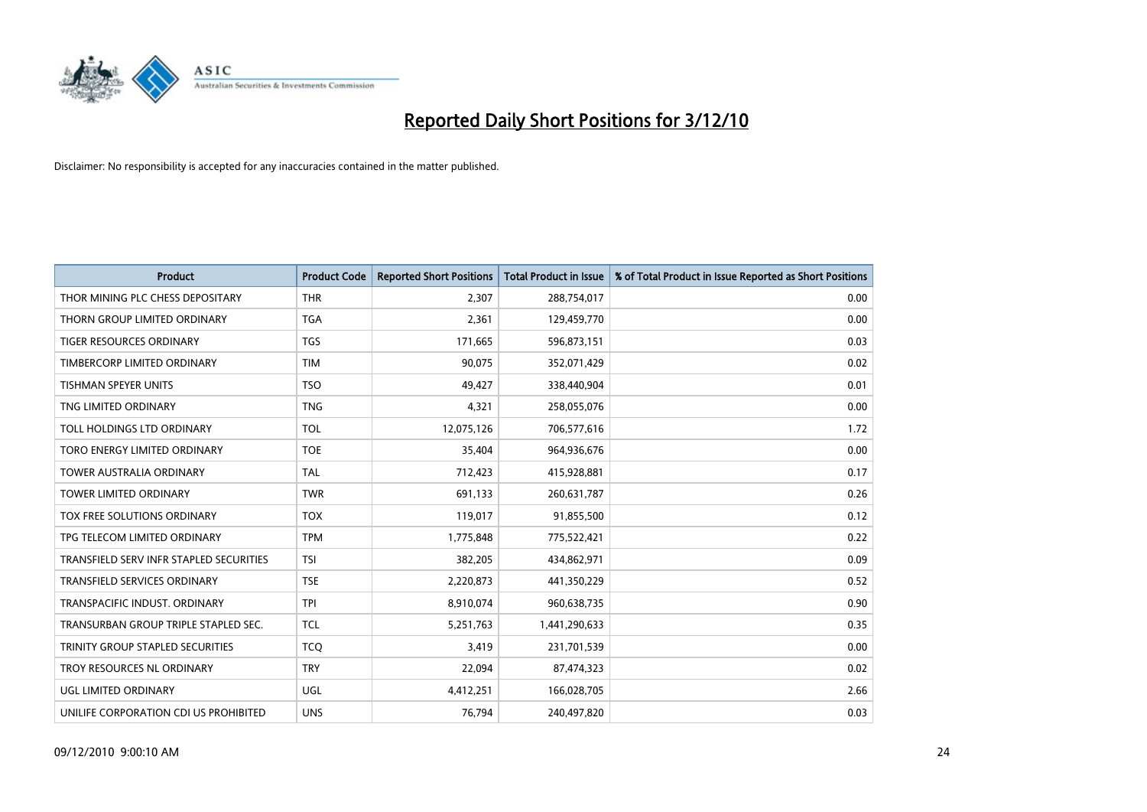

| <b>Product</b>                          | <b>Product Code</b> | <b>Reported Short Positions</b> | <b>Total Product in Issue</b> | % of Total Product in Issue Reported as Short Positions |
|-----------------------------------------|---------------------|---------------------------------|-------------------------------|---------------------------------------------------------|
| THOR MINING PLC CHESS DEPOSITARY        | <b>THR</b>          | 2,307                           | 288,754,017                   | 0.00                                                    |
| THORN GROUP LIMITED ORDINARY            | <b>TGA</b>          | 2,361                           | 129,459,770                   | 0.00                                                    |
| <b>TIGER RESOURCES ORDINARY</b>         | <b>TGS</b>          | 171,665                         | 596,873,151                   | 0.03                                                    |
| TIMBERCORP LIMITED ORDINARY             | <b>TIM</b>          | 90,075                          | 352,071,429                   | 0.02                                                    |
| <b>TISHMAN SPEYER UNITS</b>             | <b>TSO</b>          | 49,427                          | 338,440,904                   | 0.01                                                    |
| TNG LIMITED ORDINARY                    | <b>TNG</b>          | 4,321                           | 258,055,076                   | 0.00                                                    |
| TOLL HOLDINGS LTD ORDINARY              | <b>TOL</b>          | 12,075,126                      | 706,577,616                   | 1.72                                                    |
| TORO ENERGY LIMITED ORDINARY            | <b>TOE</b>          | 35,404                          | 964,936,676                   | 0.00                                                    |
| <b>TOWER AUSTRALIA ORDINARY</b>         | <b>TAL</b>          | 712,423                         | 415,928,881                   | 0.17                                                    |
| <b>TOWER LIMITED ORDINARY</b>           | <b>TWR</b>          | 691,133                         | 260,631,787                   | 0.26                                                    |
| TOX FREE SOLUTIONS ORDINARY             | <b>TOX</b>          | 119,017                         | 91,855,500                    | 0.12                                                    |
| TPG TELECOM LIMITED ORDINARY            | <b>TPM</b>          | 1,775,848                       | 775,522,421                   | 0.22                                                    |
| TRANSFIELD SERV INFR STAPLED SECURITIES | <b>TSI</b>          | 382,205                         | 434,862,971                   | 0.09                                                    |
| <b>TRANSFIELD SERVICES ORDINARY</b>     | <b>TSE</b>          | 2,220,873                       | 441,350,229                   | 0.52                                                    |
| TRANSPACIFIC INDUST, ORDINARY           | <b>TPI</b>          | 8,910,074                       | 960,638,735                   | 0.90                                                    |
| TRANSURBAN GROUP TRIPLE STAPLED SEC.    | <b>TCL</b>          | 5,251,763                       | 1,441,290,633                 | 0.35                                                    |
| TRINITY GROUP STAPLED SECURITIES        | <b>TCO</b>          | 3,419                           | 231,701,539                   | 0.00                                                    |
| TROY RESOURCES NL ORDINARY              | <b>TRY</b>          | 22,094                          | 87,474,323                    | 0.02                                                    |
| UGL LIMITED ORDINARY                    | <b>UGL</b>          | 4,412,251                       | 166,028,705                   | 2.66                                                    |
| UNILIFE CORPORATION CDI US PROHIBITED   | <b>UNS</b>          | 76,794                          | 240,497,820                   | 0.03                                                    |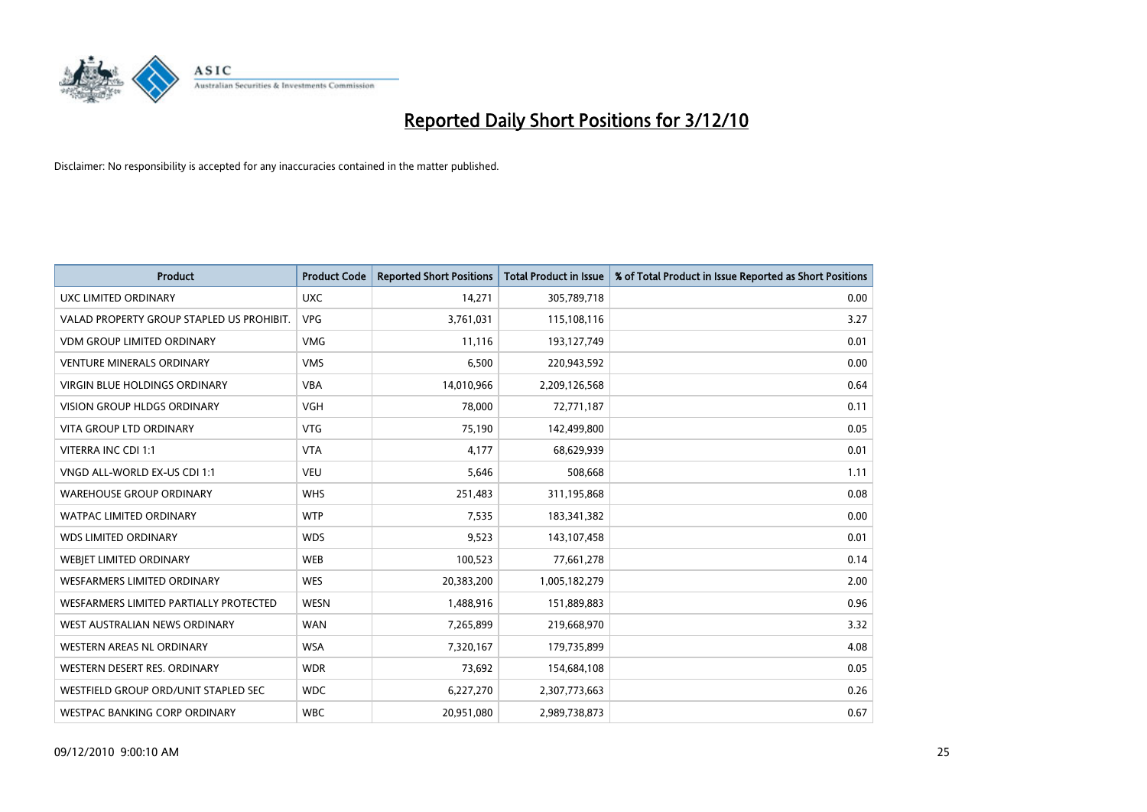

| <b>Product</b>                            | <b>Product Code</b> | <b>Reported Short Positions</b> | Total Product in Issue | % of Total Product in Issue Reported as Short Positions |
|-------------------------------------------|---------------------|---------------------------------|------------------------|---------------------------------------------------------|
| <b>UXC LIMITED ORDINARY</b>               | <b>UXC</b>          | 14,271                          | 305,789,718            | 0.00                                                    |
| VALAD PROPERTY GROUP STAPLED US PROHIBIT. | <b>VPG</b>          | 3,761,031                       | 115,108,116            | 3.27                                                    |
| <b>VDM GROUP LIMITED ORDINARY</b>         | <b>VMG</b>          | 11,116                          | 193,127,749            | 0.01                                                    |
| <b>VENTURE MINERALS ORDINARY</b>          | <b>VMS</b>          | 6,500                           | 220,943,592            | 0.00                                                    |
| <b>VIRGIN BLUE HOLDINGS ORDINARY</b>      | <b>VBA</b>          | 14,010,966                      | 2,209,126,568          | 0.64                                                    |
| <b>VISION GROUP HLDGS ORDINARY</b>        | <b>VGH</b>          | 78,000                          | 72,771,187             | 0.11                                                    |
| <b>VITA GROUP LTD ORDINARY</b>            | <b>VTG</b>          | 75,190                          | 142,499,800            | 0.05                                                    |
| VITERRA INC CDI 1:1                       | <b>VTA</b>          | 4,177                           | 68,629,939             | 0.01                                                    |
| VNGD ALL-WORLD EX-US CDI 1:1              | <b>VEU</b>          | 5,646                           | 508,668                | 1.11                                                    |
| <b>WAREHOUSE GROUP ORDINARY</b>           | <b>WHS</b>          | 251,483                         | 311,195,868            | 0.08                                                    |
| <b>WATPAC LIMITED ORDINARY</b>            | <b>WTP</b>          | 7,535                           | 183,341,382            | 0.00                                                    |
| <b>WDS LIMITED ORDINARY</b>               | <b>WDS</b>          | 9,523                           | 143,107,458            | 0.01                                                    |
| WEBJET LIMITED ORDINARY                   | <b>WEB</b>          | 100,523                         | 77,661,278             | 0.14                                                    |
| <b>WESFARMERS LIMITED ORDINARY</b>        | <b>WES</b>          | 20,383,200                      | 1,005,182,279          | 2.00                                                    |
| WESFARMERS LIMITED PARTIALLY PROTECTED    | <b>WESN</b>         | 1,488,916                       | 151,889,883            | 0.96                                                    |
| WEST AUSTRALIAN NEWS ORDINARY             | <b>WAN</b>          | 7,265,899                       | 219,668,970            | 3.32                                                    |
| WESTERN AREAS NL ORDINARY                 | <b>WSA</b>          | 7,320,167                       | 179,735,899            | 4.08                                                    |
| WESTERN DESERT RES. ORDINARY              | <b>WDR</b>          | 73,692                          | 154,684,108            | 0.05                                                    |
| WESTFIELD GROUP ORD/UNIT STAPLED SEC      | <b>WDC</b>          | 6,227,270                       | 2,307,773,663          | 0.26                                                    |
| WESTPAC BANKING CORP ORDINARY             | <b>WBC</b>          | 20,951,080                      | 2,989,738,873          | 0.67                                                    |